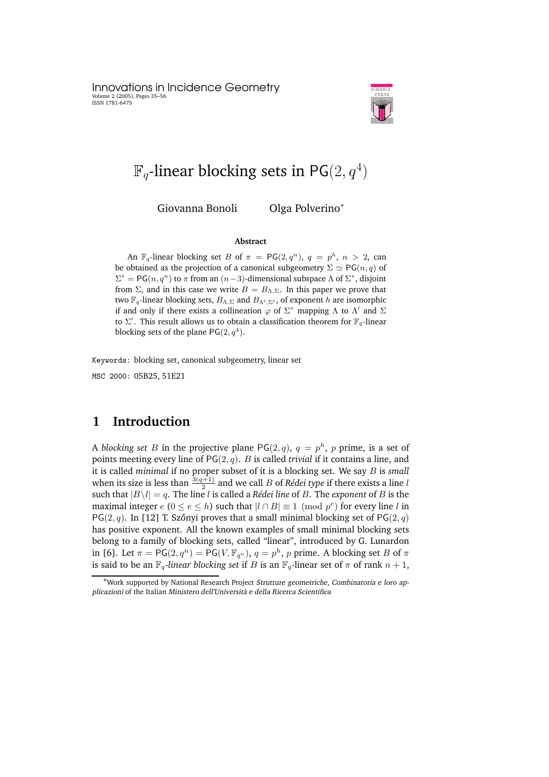Innovations in Incidence Geometry Volume 2 (2005), Pages 35–56 ISSN 1781-6475



# $\mathbb{F}_q$ -linear blocking sets in PG $(2,q^4)$

Giovanna Bonoli Olga Polverino<sup>∗</sup>

#### **Abstract**

An  $\mathbb{F}_q$ -linear blocking set  $B$  of  $\pi = \mathsf{PG}(2,q^n),\ q = p^h,\ n > 2,$  can be obtained as the projection of a canonical subgeometry  $\Sigma \simeq PG(n, q)$  of  $\Sigma^* = PG(n, q^n)$  to  $\pi$  from an  $(n-3)$ -dimensional subspace  $\Lambda$  of  $\Sigma^*$ , disjoint from  $\Sigma$ , and in this case we write  $B = B_{\Lambda,\Sigma}$ . In this paper we prove that two  $\mathbb{F}_q$ -linear blocking sets,  $B_{\Lambda,\Sigma}$  and  $B_{\Lambda',\Sigma'}$ , of exponent h are isomorphic if and only if there exists a collineation  $\varphi$  of  $\Sigma^*$  mapping  $\Lambda$  to  $\Lambda'$  and  $\Sigma$ to  $\Sigma'$ . This result allows us to obtain a classification theorem for  $\mathbb{F}_q$ -linear blocking sets of the plane  $PG(2, q<sup>4</sup>)$ .

Keywords: blocking set, canonical subgeometry, linear set MSC 2000: 05B25, 51E21

## **1 Introduction**

A *blocking set B* in the projective plane PG $(2,q)$ ,  $q = p^h$ ,  $p$  prime, is a set of points meeting every line of PG(2, q). B is called *trivial* if it contains a line, and it is called *minimal* if no proper subset of it is a blocking set. We say B is *small* when its size is less than  $\frac{3(q+1)}{2}$  and we call  $B$  of *Rédei type* if there exists a line  $l$ such that  $|B\setminus l| = q$ . The line *l* is called a *Rédei line* of *B*. The *exponent* of *B* is the maximal integer  $e$  ( $0 \le e \le h$ ) such that  $|l \cap B| \equiv 1 \pmod{p^e}$  for every line l in PG(2, q). In [12] T. Szőnyi proves that a small minimal blocking set of PG(2, q) has positive exponent. All the known examples of small minimal blocking sets belong to a family of blocking sets, called "linear", introduced by G. Lunardon in [6]. Let  $\pi = PG(2, q^n) = PG(V, \mathbb{F}_{q^n})$ ,  $q = p^h$ , p prime. A blocking set B of  $\pi$ is said to be an  $\mathbb{F}_q$ -linear *blocking set* if B is an  $\mathbb{F}_q$ -linear set of  $\pi$  of rank  $n + 1$ ,

<sup>∗</sup>Work supported by National Research Project Strutture geometriche, Combinatoria <sup>e</sup> loro applicazioni of the Italian Ministero dell'Università e della Ricerca Scientifica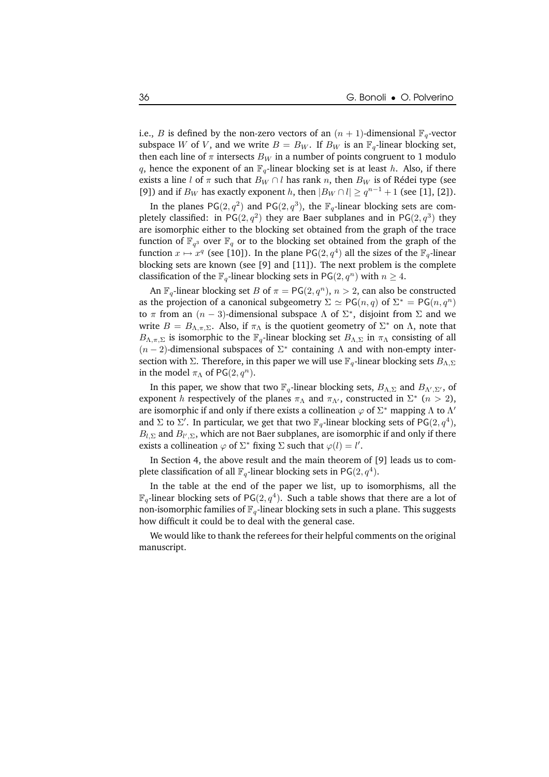i.e., *B* is defined by the non-zero vectors of an  $(n + 1)$ -dimensional  $\mathbb{F}_q$ -vector subspace W of V, and we write  $B = B_W$ . If  $B_W$  is an  $\mathbb{F}_q$ -linear blocking set, then each line of  $\pi$  intersects  $B_W$  in a number of points congruent to 1 modulo q, hence the exponent of an  $\mathbb{F}_q$ -linear blocking set is at least h. Also, if there exists a line l of  $\pi$  such that  $B_W \cap l$  has rank n, then  $B_W$  is of Rédei type (see [9]) and if  $B_W$  has exactly exponent h, then  $|B_W \cap l| \ge q^{n-1} + 1$  (see [1], [2]).

In the planes PG $(2, q^2)$  and PG $(2, q^3)$ , the  $\mathbb{F}_q$ -linear blocking sets are completely classified: in PG $(2, q^2)$  they are Baer subplanes and in PG $(2, q^3)$  they are isomorphic either to the blocking set obtained from the graph of the trace function of  $\mathbb{F}_{q^3}$  over  $\mathbb{F}_{q}$  or to the blocking set obtained from the graph of the function  $x \mapsto x^q$  (see [10]). In the plane PG(2,  $q^4$ ) all the sizes of the  $\mathbb{F}_q$ -linear blocking sets are known (see [9] and [11]). The next problem is the complete classification of the  $\mathbb{F}_q$ -linear blocking sets in PG(2,  $q^n$ ) with  $n \geq 4$ .

An  $\mathbb{F}_q$ -linear blocking set B of  $\pi = \mathsf{PG}(2,q^n)$ ,  $n > 2$ , can also be constructed as the projection of a canonical subgeometry  $\Sigma \simeq {\sf PG}(n,q)$  of  $\Sigma^* = {\sf PG}(n,q^n)$ to π from an  $(n - 3)$ -dimensional subspace Λ of  $\Sigma^*$ , disjoint from Σ and we write  $B = B_{\Lambda,\pi,\Sigma}$ . Also, if  $\pi_\Lambda$  is the quotient geometry of  $\Sigma^*$  on  $\Lambda$ , note that  $B_{\Lambda,\pi,\Sigma}$  is isomorphic to the  $\mathbb{F}_q$ -linear blocking set  $B_{\Lambda,\Sigma}$  in  $\pi_\Lambda$  consisting of all  $(n-2)$ -dimensional subspaces of  $\Sigma^*$  containing  $\Lambda$  and with non-empty intersection with Σ. Therefore, in this paper we will use  $\mathbb{F}_q$ -linear blocking sets  $B_{\Lambda,\Sigma}$ in the model  $\pi_{\Lambda}$  of PG(2,  $q^{n}$ ).

In this paper, we show that two  $\mathbb{F}_q$ -linear blocking sets,  $B_{\Lambda,\Sigma}$  and  $B_{\Lambda',\Sigma'}$ , of exponent *h* respectively of the planes  $\pi_{\Lambda}$  and  $\pi_{\Lambda'}$ , constructed in  $\Sigma^*$  ( $n > 2$ ), are isomorphic if and only if there exists a collineation  $\varphi$  of  $\Sigma^*$  mapping  $\Lambda$  to  $\Lambda'$ and  $\Sigma$  to  $\Sigma'$ . In particular, we get that two  $\mathbb{F}_q$ -linear blocking sets of PG $(2,q^4)$ ,  $B_{l,\Sigma}$  and  $B_{l',\Sigma}$ , which are not Baer subplanes, are isomorphic if and only if there exists a collineation  $\varphi$  of  $\Sigma^*$  fixing  $\Sigma$  such that  $\varphi(l) = l'$ .

In Section 4, the above result and the main theorem of [9] leads us to complete classification of all  $\mathbb{F}_q$ -linear blocking sets in PG $(2,q^4).$ 

In the table at the end of the paper we list, up to isomorphisms, all the  $\mathbb{F}_q$ -linear blocking sets of PG $(2,q^4)$ . Such a table shows that there are a lot of non-isomorphic families of  $\mathbb{F}_q$ -linear blocking sets in such a plane. This suggests how difficult it could be to deal with the general case.

We would like to thank the referees for their helpful comments on the original manuscript.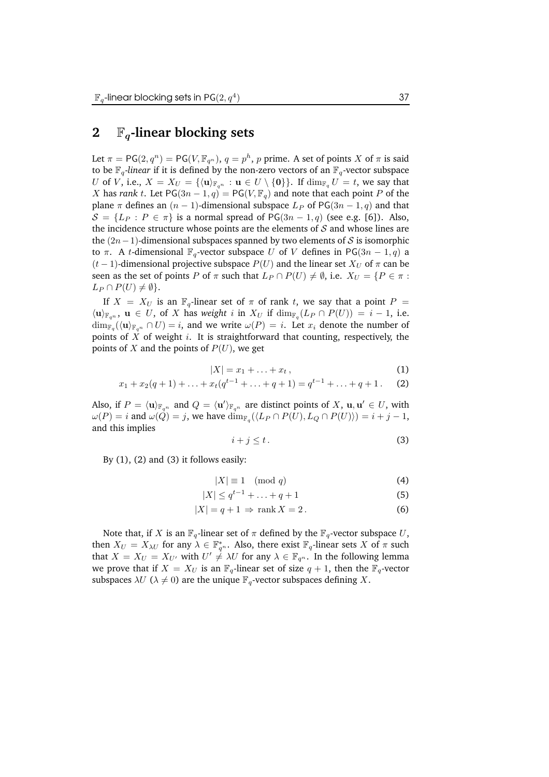### **2** Fq**-linear blocking sets**

Let  $\pi=\mathsf{PG}(2,q^n)=\mathsf{PG}(V,\mathbb{F}_{q^n}),\, q=p^h,\, p$  prime. A set of points  $X$  of  $\pi$  is said to be  $\mathbb{F}_q$ -linear if it is defined by the non-zero vectors of an  $\mathbb{F}_q$ -vector subspace U of V, i.e.,  $X = X_U = {\mathbf{u}_{\mathbb{F}_{q^n}} : \mathbf{u} \in U \setminus \{\mathbf{0}\}\}\)$ . If  $\dim_{\mathbb{F}_q} U = t$ , we say that X has *rank* t. Let  $PG(3n - 1, q) = PG(V, \mathbb{F}_q)$  and note that each point P of the plane  $\pi$  defines an  $(n - 1)$ -dimensional subspace  $L_P$  of PG(3n – 1, q) and that  $S = \{L_P : P \in \pi\}$  is a normal spread of PG(3n – 1, q) (see e.g. [6]). Also, the incidence structure whose points are the elements of  $S$  and whose lines are the  $(2n-1)$ -dimensional subspaces spanned by two elements of S is isomorphic to π. A t-dimensional  $\mathbb{F}_q$ -vector subspace U of V defines in PG(3n – 1, q) a  $(t-1)$ -dimensional projective subspace  $P(U)$  and the linear set  $X_U$  of  $\pi$  can be seen as the set of points P of  $\pi$  such that  $L_P \cap P(U) \neq \emptyset$ , i.e.  $X_U = \{P \in \pi :$  $L_P \cap P(U) \neq \emptyset$ .

If  $X = X_U$  is an  $\mathbb{F}_q$ -linear set of  $\pi$  of rank t, we say that a point  $P =$  $\langle \mathbf{u} \rangle_{\mathbb{F}_{q^n}}$ ,  $\mathbf{u} \in U$ , of X has *weight* i in  $X_U$  if  $\dim_{\mathbb{F}_q}(L_P \cap P(U)) = i - 1$ , i.e.  $\dim_{\mathbb{F}_q} (\langle \mathbf{u} \rangle_{\mathbb{F}_{q^n}} \cap U) = i$ , and we write  $\omega(P) = i$ . Let  $x_i$  denote the number of points of  $X$  of weight  $i$ . It is straightforward that counting, respectively, the points of X and the points of  $P(U)$ , we get

$$
|X|=x_1+\ldots+x_t\,,\tag{1}
$$

$$
x_1 + x_2(q+1) + \ldots + x_t(q^{t-1} + \ldots + q+1) = q^{t-1} + \ldots + q+1. \tag{2}
$$

Also, if  $P = \langle \mathbf{u} \rangle_{\mathbb{F}_{q^n}}$  and  $Q = \langle \mathbf{u}' \rangle_{\mathbb{F}_{q^n}}$  are distinct points of X,  $\mathbf{u}, \mathbf{u}' \in U$ , with  $\omega(P) = i$  and  $\omega(Q) = j$ , we have  $\dim_{\mathbb{F}_q} (\langle L_P \cap P(U), L_Q \cap P(U) \rangle) = i + j - 1$ , and this implies

$$
i + j \le t. \tag{3}
$$

By  $(1)$ ,  $(2)$  and  $(3)$  it follows easily:

$$
|X| \equiv 1 \pmod{q} \tag{4}
$$

$$
|X| \le q^{t-1} + \ldots + q + 1 \tag{5}
$$

$$
|X| = q + 1 \Rightarrow \operatorname{rank} X = 2. \tag{6}
$$

Note that, if X is an  $\mathbb{F}_q$ -linear set of  $\pi$  defined by the  $\mathbb{F}_q$ -vector subspace U, then  $X_U = X_{\lambda U}$  for any  $\lambda \in \mathbb{F}_{q^n}^*$ . Also, there exist  $\mathbb{F}_q$ -linear sets X of  $\pi$  such that  $X = X_U = X_{U'}$  with  $U' \neq \lambda U$  for any  $\lambda \in \mathbb{F}_{q^n}$ . In the following lemma we prove that if  $X = X_U$  is an  $\mathbb{F}_q$ -linear set of size  $q + 1$ , then the  $\mathbb{F}_q$ -vector subspaces  $\lambda U$  ( $\lambda \neq 0$ ) are the unique  $\mathbb{F}_q$ -vector subspaces defining X.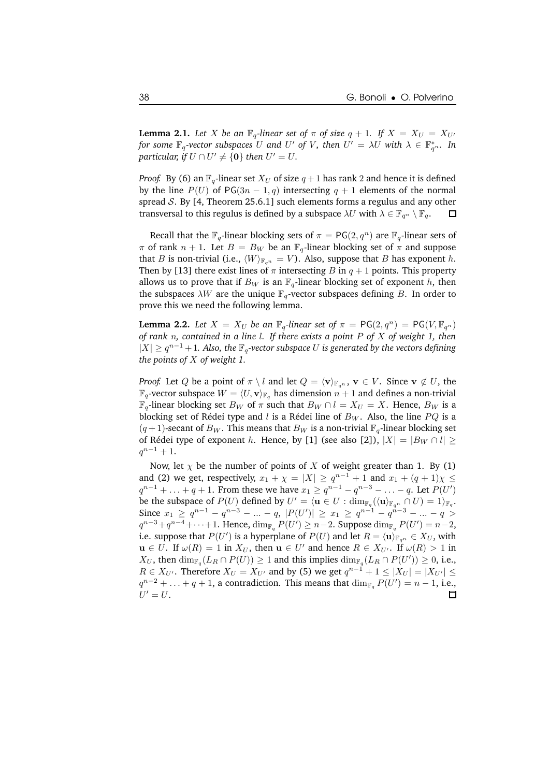**Lemma 2.1.** Let X be an  $\mathbb{F}_q$ -linear set of  $\pi$  of size  $q + 1$ . If  $X = X_U = X_{U'}$ *for* some  $\mathbb{F}_q$ -vector subspaces  $U$  and  $U'$  of  $V$ , then  $U' = \lambda U$  with  $\lambda \in \mathbb{F}_{q^n}^*$ . In *particular, if*  $U \cap U' \neq \{0\}$  *then*  $U' = U$ .

*Proof.* By (6) an  $\mathbb{F}_q$ -linear set  $X_U$  of size  $q + 1$  has rank 2 and hence it is defined by the line  $P(U)$  of PG(3n – 1, q) intersecting  $q + 1$  elements of the normal spread  $S$ . By [4, Theorem 25.6.1] such elements forms a regulus and any other transversal to this regulus is defined by a subspace  $\lambda U$  with  $\lambda \in \mathbb{F}_{q^n} \setminus \mathbb{F}_{q}$ .  $\Box$ 

Recall that the  $\mathbb{F}_q$ -linear blocking sets of  $\pi = \mathsf{PG}(2,q^n)$  are  $\mathbb{F}_q$ -linear sets of  $\pi$  of rank  $n + 1$ . Let  $B = B_W$  be an  $\mathbb{F}_q$ -linear blocking set of  $\pi$  and suppose that B is non-trivial (i.e.,  $\langle W \rangle_{\mathbb{F}_{q^n}} = V$ ). Also, suppose that B has exponent h. Then by [13] there exist lines of  $\pi$  intersecting B in  $q + 1$  points. This property allows us to prove that if  $B_W$  is an  $\mathbb{F}_q$ -linear blocking set of exponent h, then the subspaces  $\lambda W$  are the unique  $\mathbb{F}_q$ -vector subspaces defining B. In order to prove this we need the following lemma.

**Lemma 2.2.** Let  $X = X_U$  be an  $\mathbb{F}_q$ -linear set of  $\pi = \mathsf{PG}(2, q^n) = \mathsf{PG}(V, \mathbb{F}_{q^n})$ *of rank* n*, contained in a line* l*. If there exists a point* P *of* X *of weight 1, then*  $|X|$  ≥  $q^{n-1}$  + 1. Also, the  $\mathbb{F}_q$ -vector subspace  $U$  is generated by the vectors defining *the points of* X *of weight 1.*

*Proof.* Let Q be a point of  $\pi \setminus l$  and let  $Q = \langle v \rangle_{\mathbb{F}_{q^n}}$ ,  $v \in V$ . Since  $v \notin U$ , the  $\mathbb{F}_q$ -vector subspace  $W = \langle U, \mathbf{v} \rangle_{\mathbb{F}_q}$  has dimension  $n + 1$  and defines a non-trivial  $\mathbb{F}_q$ -linear blocking set  $B_W$  of  $\pi$  such that  $B_W \cap l = X_U = X$ . Hence,  $B_W$  is a blocking set of Rédei type and l is a Rédei line of  $B_W$ . Also, the line  $PQ$  is a  $(q+1)$ -secant of  $B_W$ . This means that  $B_W$  is a non-trivial  $\mathbb{F}_q$ -linear blocking set of Rédei type of exponent h. Hence, by [1] (see also [2]),  $|X| = |B_W \cap l| \ge$  $q^{n-1}+1$ .

Now, let  $\chi$  be the number of points of X of weight greater than 1. By (1) and (2) we get, respectively,  $x_1 + \chi = |X| \ge q^{n-1} + 1$  and  $x_1 + (q+1)\chi \le$  $q^{n-1} + \ldots + q + 1$ . From these we have  $x_1 \ge q^{n-1} - q^{n-3} - \ldots - q$ . Let  $P(U')$ be the subspace of  $P(U)$  defined by  $U' = \langle \mathbf{u} \in U : \dim_{\mathbb{F}_q} (\langle \mathbf{u} \rangle_{\mathbb{F}_{q^n}} \cap U) = 1 \rangle_{\mathbb{F}_q}$ . Since  $x_1 \ge q^{n-1} - q^{n-3} - ... - q$ ,  $|P(U')| \ge x_1 \ge q^{n-1} - q^{n-3} - ... - q >$  $q^{n-3}+q^{n-4}+\cdots+1$ . Hence,  $\dim_{\mathbb{F}_q} P(U')\geq n-2$ . Suppose  $\dim_{\mathbb{F}_q} P(U')=n-2$ , i.e. suppose that  $P(U')$  is a hyperplane of  $P(U)$  and let  $R = \langle \mathbf{u} \rangle_{\mathbb{F}_{q^n}} \in X_U$ , with  $u \in U$ . If  $\omega(R) = 1$  in  $X_U$ , then  $u \in U'$  and hence  $R \in X_{U'}$ . If  $\omega(R) > 1$  in  $X_U$ , then  $\dim_{\mathbb{F}_q}(L_R \cap P(U)) \geq 1$  and this implies  $\dim_{\mathbb{F}_q}(L_R \cap P(U')) \geq 0$ , i.e.,  $R \in X_{U'}$ . Therefore  $X_{U} = X_{U'}$  and by (5) we get  $q^{n-1} + 1 \leq |X_{U}| = |X_{U'}| \leq$  $q^{n-2} + \ldots + q + 1$ , a contradiction. This means that  $\dim_{\mathbb{F}_q} P(U') = n - 1$ , i.e.,  $U'=U.$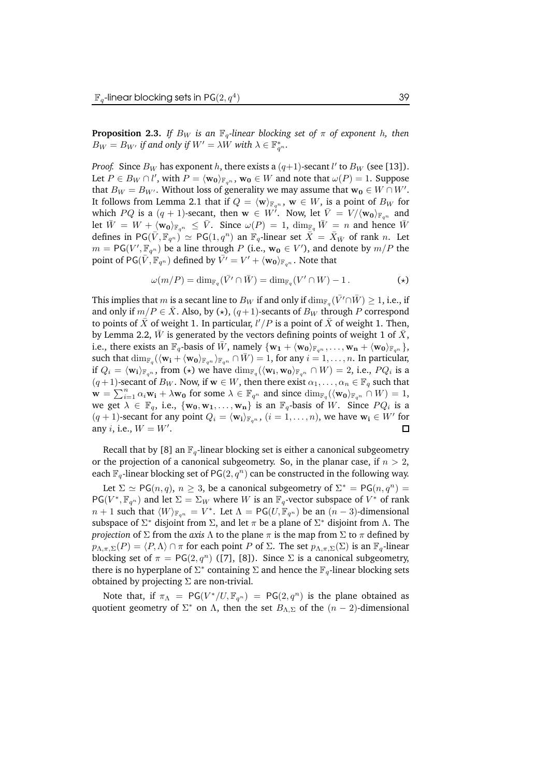**Proposition 2.3.** *If*  $B_W$  *is an*  $\mathbb{F}_q$ -linear blocking set of  $\pi$  of exponent h, then  $B_W = B_{W'}$  *if and only if*  $W' = \lambda W$  *with*  $\lambda \in \mathbb{F}_{q^n}^*$ .

*Proof.* Since  $B_W$  has exponent  $h$ , there exists a  $(q+1)$ -secant  $l'$  to  $B_W$  (see [13]). Let  $P \in B_W \cap l'$ , with  $P = \langle \mathbf{w_0} \rangle_{\mathbb{F}_{q^n}}, \mathbf{w_0} \in W$  and note that  $\omega(P) = 1$ . Suppose that  $B_W = B_{W'}$ . Without loss of generality we may assume that  $\mathbf{w_0} \in W \cap W'$ . It follows from Lemma 2.1 that if  $Q = \langle \mathbf{w} \rangle_{\mathbb{F}_{q^n}}$ ,  $\mathbf{w} \in W$ , is a point of  $B_W$  for which  $PQ$  is a  $(q + 1)$ -secant, then  $\mathbf{w} \in W'$ . Now, let  $\overline{V} = V / \langle \mathbf{w_0} \rangle_{\mathbb{F}_{q^n}}$  and let  $\overline{W} = W + \langle w_0 \rangle_{\mathbb{F}_{q^n}} \leq \overline{V}$ . Since  $\omega(P) = 1$ ,  $\dim_{\mathbb{F}_q} \overline{W} = n$  and hence  $\overline{W}$ defines in PG $(\bar{V}, \mathbb{F}_{q^n}) \simeq {\sf PG}(1, q^n)$  an  $\mathbb{F}_q$ -linear set  $\bar{X} = \bar{X}_{\bar{W}}$  of rank n. Let  $m = \mathsf{PG}(V', \underline{\mathbb{F}}_{q^n})$  be a line through  $P$  (i.e.,  $\mathbf{w_0} \in V'$ ), and denote by  $m/P$  the point of  $\mathsf{PG}(\bar{V}, \mathbb{F}_{q^n})$  defined by  $\bar{V'} = V' + \langle \mathbf{w_0} \rangle_{\mathbb{F}_{q^n}}$  . Note that

$$
\omega(m/P) = \dim_{\mathbb{F}_q} (\bar{V'} \cap \bar{W}) = \dim_{\mathbb{F}_q} (V' \cap W) - 1.
$$
 (\*)

This implies that  $m$  is a secant line to  $B_W$  if and only if  $\dim_{\mathbb{F}_q} (\bar{V'} \cap \bar{W}) \geq 1$ , i.e., if and only if  $m/P \in \overline{X}$ . Also, by  $(\star)$ ,  $(q+1)$ -secants of  $B_W$  through P correspond to points of  $\bar{X}$  of weight 1. In particular,  $l'/P$  is a point of  $\bar{X}$  of weight 1. Then, by Lemma 2.2,  $\bar{W}$  is generated by the vectors defining points of weight 1 of  $\bar{X}$ , i.e., there exists an  $\mathbb{F}_q$ -basis of  $\bar{W}$ , namely  $\{w_1 + \langle w_0 \rangle_{\mathbb{F}_{q^n}}, \ldots, w_n + \langle w_0 \rangle_{\mathbb{F}_{q^n}}\}$ , such that  $\dim_{\mathbb{F}_q}(\langle \mathbf{w_i} + \langle \mathbf{w_0}\rangle_{\mathbb{F}_{q^n}}\cap \bar{W}) = 1$ , for any  $i=1,\ldots,n.$  In particular, if  $Q_i = \langle \mathbf{w_i} \rangle_{\mathbb{F}_{q^n}}$ , from  $(\star)$  we have  $\dim_{\mathbb{F}_q} (\langle \mathbf{w_i}, \mathbf{w_0} \rangle_{\mathbb{F}_{q^n}} \cap W) = 2$ , i.e.,  $PQ_i$  is a  $(q+1)$ -secant of  $B_W$ . Now, if  $w \in W$ , then there exist  $\alpha_1, \ldots, \alpha_n \in \mathbb{F}_q$  such that  $\mathbf{w} = \sum_{i=1}^n \alpha_i \mathbf{w_i} + \lambda \mathbf{w_0}$  for some  $\lambda \in \mathbb{F}_{q^n}$  and since  $\dim_{\mathbb{F}_q} (\langle \mathbf{w_0} \rangle_{\mathbb{F}_{q^n}} \cap W) = 1$ , we get  $\lambda \in \mathbb{F}_q$ , i.e.,  $\{w_0, w_1, \ldots, w_n\}$  is an  $\mathbb{F}_q$ -basis of W. Since  $PQ_i$  is a  $(q + 1)$ -secant for any point  $Q_i = \langle \mathbf{w_i} \rangle_{\mathbb{F}_{q^n}}$ ,  $(i = 1, ..., n)$ , we have  $\mathbf{w_i} \in W'$  for any *i*, i.e.,  $W = W'$ . □

Recall that by [8] an  $\mathbb{F}_q$ -linear blocking set is either a canonical subgeometry or the projection of a canonical subgeometry. So, in the planar case, if  $n > 2$ , each  $\mathbb{F}_q$ -linear blocking set of PG $(2,q^n)$  can be constructed in the following way. Let  $\Sigma \simeq PG(n, q), n \geq 3$ , be a canonical subgeometry of  $\Sigma^* = PG(n, q^n) =$  $PG(V^*, \mathbb{F}_{q^n})$  and let  $\Sigma = \Sigma_W$  where W is an  $\mathbb{F}_q$ -vector subspace of  $V^*$  of rank  $n + 1$  such that  $\langle W \rangle_{\mathbb{F}_{q^n}} = V^*$ . Let  $\Lambda = \mathsf{PG}(U, \mathbb{F}_{q^n})$  be an  $(n-3)$ -dimensional subspace of  $\Sigma^*$  disjoint from  $\Sigma$ , and let  $\pi$  be a plane of  $\Sigma^*$  disjoint from  $\Lambda$ . The

*projection* of  $\Sigma$  from the *axis*  $\Lambda$  to the plane  $\pi$  is the map from  $\Sigma$  to  $\pi$  defined by  $p_{\Lambda,\pi,\Sigma}(P) = \langle P,\Lambda\rangle \cap \pi$  for each point P of  $\Sigma$ . The set  $p_{\Lambda,\pi,\Sigma}(\Sigma)$  is an  $\mathbb{F}_q$ -linear blocking set of  $\pi = PG(2, q^n)$  ([7], [8]). Since  $\Sigma$  is a canonical subgeometry, there is no hyperplane of  $\Sigma^*$  containing  $\Sigma$  and hence the  $\mathbb{F}_q$ -linear blocking sets obtained by projecting  $\Sigma$  are non-trivial.

Note that, if  $\pi_{\Lambda}$  = PG( $V^*/U, \mathbb{F}_{q^n}$ ) = PG( $2, q^n$ ) is the plane obtained as quotient geometry of  $\Sigma^*$  on  $\Lambda$ , then the set  $B_{\Lambda,\Sigma}$  of the  $(n-2)$ -dimensional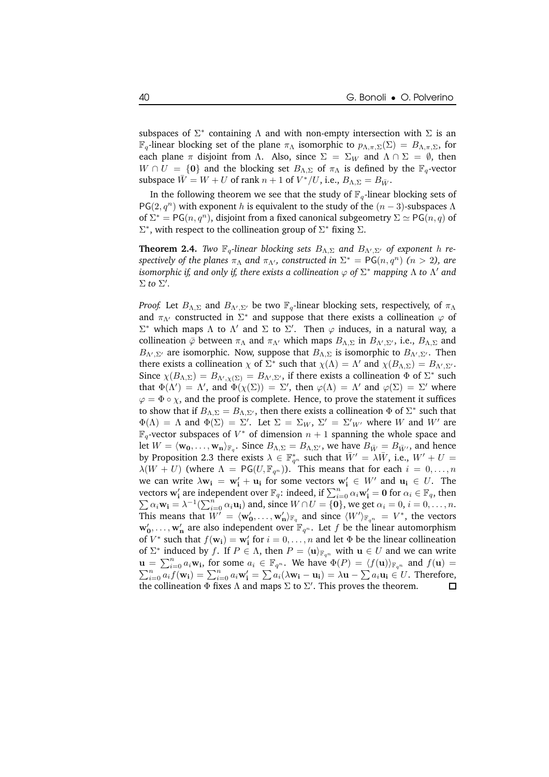subspaces of  $\Sigma^*$  containing  $\Lambda$  and with non-empty intersection with  $\Sigma$  is an  $\mathbb{F}_q$ -linear blocking set of the plane  $\pi_\Lambda$  isomorphic to  $p_{\Lambda,\pi,\Sigma}(\Sigma) = B_{\Lambda,\pi,\Sigma}$ , for each plane  $\pi$  disjoint from  $\Lambda$ . Also, since  $\Sigma = \Sigma_W$  and  $\Lambda \cap \Sigma = \emptyset$ , then  $W \cap U = \{0\}$  and the blocking set  $B_{\Lambda,\Sigma}$  of  $\pi_{\Lambda}$  is defined by the  $\mathbb{F}_{q}$ -vector subspace  $\bar{W} = W + U$  of rank  $n + 1$  of  $V^*/U$ , i.e.,  $B_{\Lambda, \Sigma} = B_{\bar{W}}$ .

In the following theorem we see that the study of  $\mathbb{F}_q$ -linear blocking sets of PG(2, $q^n$ ) with exponent h is equivalent to the study of the  $(n-3)$ -subspaces  $\Lambda$ of  $\Sigma^* = PG(n, q^n)$ , disjoint from a fixed canonical subgeometry  $\Sigma \simeq PG(n, q)$  of  $\Sigma^*$ , with respect to the collineation group of  $\Sigma^*$  fixing  $\Sigma$ .

**Theorem 2.4.** *Two*  $\mathbb{F}_q$ -linear blocking sets  $B_{\Lambda,\Sigma}$  and  $B_{\Lambda',\Sigma'}$  of exponent h re*spectively of the planes*  $\pi_{\Lambda}$  *and*  $\pi_{\Lambda'}$ *, constructed in*  $\Sigma^* = \mathsf{PG}(n, q^n)$   $(n > 2)$ *, are isomorphic if, and only if, there exists a collineation* ϕ *of* Σ <sup>∗</sup> *mapping* Λ *to* Λ 0 *and*  $\Sigma$  *to*  $\Sigma'$ *.* 

*Proof.* Let  $B_{\Lambda,\Sigma}$  and  $B_{\Lambda',\Sigma'}$  be two  $\mathbb{F}_q$ -linear blocking sets, respectively, of  $\pi_\Lambda$ and  $\pi_{\Lambda'}$  constructed in  $\Sigma^*$  and suppose that there exists a collineation  $\varphi$  of  $\Sigma^*$  which maps Λ to Λ' and Σ to Σ'. Then  $\varphi$  induces, in a natural way, a collineation  $\bar{\varphi}$  between  $\pi_\Lambda$  and  $\pi_{\Lambda'}$  which maps  $B_{\Lambda,\Sigma}$  in  $B_{\Lambda',\Sigma'}$ , i.e.,  $B_{\Lambda,\Sigma}$  and  $B_{\Lambda',\Sigma'}$  are isomorphic. Now, suppose that  $B_{\Lambda,\Sigma}$  is isomorphic to  $B_{\Lambda',\Sigma'}$ . Then there exists a collineation  $\chi$  of  $\Sigma^*$  such that  $\chi(\Lambda) = \Lambda'$  and  $\chi(B_{\Lambda,\Sigma}) = B_{\Lambda',\Sigma'}$ . Since  $\chi(B_{\Lambda,\Sigma})=B_{\Lambda',\chi(\Sigma)}=B_{\Lambda',\Sigma'}$ , if there exists a collineation  $\Phi$  of  $\Sigma^*$  such that  $\Phi(\Lambda') = \Lambda'$ , and  $\Phi(\chi(\Sigma)) = \Sigma'$ , then  $\varphi(\Lambda) = \Lambda'$  and  $\varphi(\Sigma) = \Sigma'$  where  $\varphi = \Phi \circ \chi$ , and the proof is complete. Hence, to prove the statement it suffices to show that if  $B_{\Lambda,\Sigma}=B_{\Lambda,\Sigma'}$ , then there exists a collineation  $\Phi$  of  $\Sigma^*$  such that  $\Phi(\Lambda) = \Lambda$  and  $\Phi(\Sigma) = \Sigma'$ . Let  $\Sigma = \Sigma_W$ ,  $\Sigma' = \Sigma'_{W'}$  where W and W' are  $\mathbb{F}_q$ -vector subspaces of  $V^*$  of dimension  $n+1$  spanning the whole space and let  $W = \langle \mathbf{w_0}, \dots, \mathbf{w_n} \rangle_{\mathbb{F}_q}$ . Since  $B_{\Lambda, \Sigma} = B_{\Lambda, \Sigma'}$ , we have  $B_{\bar{W}} = B_{\bar{W'}},$  and hence by Proposition 2.3 there exists  $\lambda \in \mathbb{F}_{q^n}^*$  such that  $\bar{W}' = \lambda \bar{W}$ , i.e.,  $W' + U =$  $\lambda(W + U)$  (where  $\Lambda = PG(U, \mathbb{F}_{q^n})$ ). This means that for each  $i = 0, ..., n$ we can write  $\lambda \mathbf{w_i} = \mathbf{w'_i} + \mathbf{u_i}$  for some vectors  $\mathbf{w'_i} \in W'$  and  $\mathbf{u_i} \in U$ . The vectors  $\mathbf{w}_i'$  are independent over  $\mathbb{F}_q$ : indeed, if  $\sum_{i=0}^n \alpha_i \mathbf{w}_i' = \mathbf{0}$  for  $\alpha_i \in \mathbb{F}_q$ , then  $\sum \alpha_i \mathbf{w_i} = \lambda^{-1} (\sum_{i=0}^n \alpha_i \mathbf{u_i})$  and, since  $W \cap U = \{0\}$ , we get  $\alpha_i = 0$ ,  $i = 0, \dots, n$ . This means that  $W' = \langle w'_0, \ldots, w'_n \rangle_{\mathbb{F}_q}$  and since  $\langle W' \rangle_{\mathbb{F}_{q^n}} = V^*$ , the vectors  $\mathbf{w'_0}, \dots, \mathbf{w'_n}$  are also independent over  $\mathbb{F}_{q^n}$ . Let  $f$  be the linear automorphism of  $V^*$  such that  $f(\mathbf{w_i}) = \mathbf{w'_i}$  for  $i = 0, \dots, n$  and let  $\Phi$  be the linear collineation of  $\Sigma^*$  induced by f. If  $P \in \Lambda$ , then  $P = \langle \mathbf{u} \rangle_{\mathbb{F}_{q^n}}$  with  $\mathbf{u} \in U$  and we can write  $\mathbf{u} = \sum_{i=0}^{n} a_i \mathbf{w_i}$  $\mathbf{u} = \sum_{i=0}^{n} a_i \mathbf{w_i}$ , for some  $a_i \in \mathbb{F}_{q^n}$ . We have  $\Phi(P) = \langle f(\mathbf{u}) \rangle_{\mathbb{F}_{q^n}}$  and  $f(\mathbf{u}) = \sum_{i=0}^{n} a_i f(\mathbf{w_i}) = \sum_{i=0}^{n} a_i \mathbf{w'_i} = \sum a_i (\lambda \mathbf{w_i} - \mathbf{u_i}) = \lambda \mathbf{u} - \sum a_i \mathbf{u_i} \in U$ . Therefore, the collineation  $\Phi$  fixes  $\Lambda$  and maps  $\Sigma$  to  $\Sigma'.$  This proves the theorem.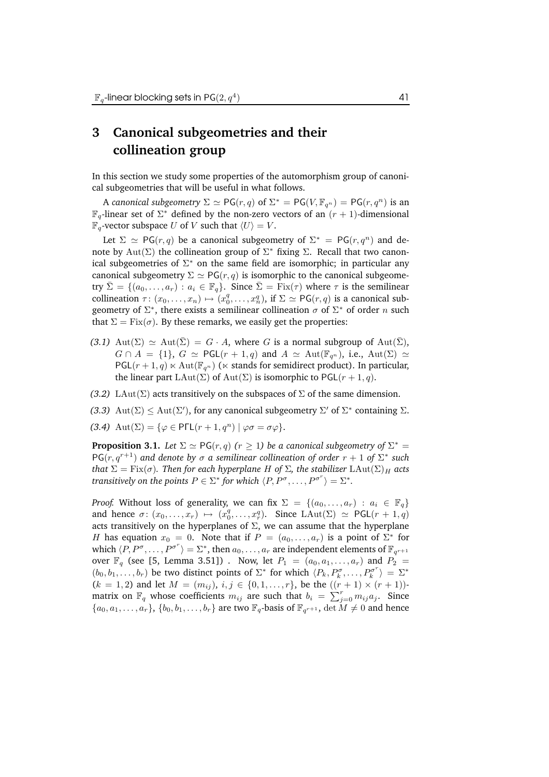## **3 Canonical subgeometries and their collineation group**

In this section we study some properties of the automorphism group of canonical subgeometries that will be useful in what follows.

A canonical subgeometry  $\Sigma \simeq {\sf PG}(r,q)$  of  $\Sigma^* = {\sf PG}(V, \mathbb{F}_{q^n}) = {\sf PG}(r,q^n)$  is an  $\mathbb{F}_q$ -linear set of  $\Sigma^*$  defined by the non-zero vectors of an  $(r + 1)$ -dimensional  $\mathbb{F}_q$ -vector subspace U of V such that  $\langle U \rangle = V$ .

Let  $\Sigma \simeq PG(r, q)$  be a canonical subgeometry of  $\Sigma^* = PG(r, q^n)$  and denote by  $\mathrm{Aut}(\Sigma)$  the collineation group of  $\Sigma^*$  fixing  $\Sigma$ . Recall that two canonical subgeometries of  $\Sigma^*$  on the same field are isomorphic; in particular any canonical subgeometry  $\Sigma \simeq PG(r, q)$  is isomorphic to the canonical subgeometry  $\bar{\Sigma} = \{(a_0, \ldots, a_r) : a_i \in \mathbb{F}_q\}$ . Since  $\bar{\Sigma} = \text{Fix}(\tau)$  where  $\tau$  is the semilinear collineation  $\tau: (x_0, \ldots, x_n) \mapsto (x_0^q, \ldots, x_n^q)$ , if  $\Sigma \simeq \mathsf{PG}(r, q)$  is a canonical subgeometry of  $\Sigma^*$ , there exists a semilinear collineation  $\sigma$  of  $\Sigma^*$  of order  $n$  such that  $\Sigma = \text{Fix}(\sigma)$ . By these remarks, we easily get the properties:

- $(3.1)$  Aut $(\Sigma) \simeq$  Aut $(\overline{\Sigma}) = G \cdot A$ , where G is a normal subgroup of Aut $(\overline{\Sigma})$ ,  $G \cap A = \{1\}$ ,  $G \simeq \text{PGL}(r + 1, q)$  and  $A \simeq \text{Aut}(\mathbb{F}_{q^n})$ , i.e.,  $\text{Aut}(\Sigma) \simeq$  $PGL(r+1,q) \ltimes Aut(\mathbb{F}_{q^n})$  ( $\ltimes$  stands for semidirect product). In particular, the linear part LAut( $\Sigma$ ) of Aut( $\Sigma$ ) is isomorphic to PGL( $r + 1, q$ ).
- *(3.2)* LAut( $\Sigma$ ) acts transitively on the subspaces of  $\Sigma$  of the same dimension.
- (3.3)  $\text{Aut}(\Sigma) \leq \text{Aut}(\Sigma')$ , for any canonical subgeometry  $\Sigma'$  of  $\Sigma^*$  containing  $\Sigma$ .
- (3.4)  $\text{Aut}(\Sigma) = \{ \varphi \in \text{P}\Gamma\mathsf{L}(r+1, q^n) \mid \varphi\sigma = \sigma\varphi \}.$

**Proposition 3.1.** *Let*  $\Sigma \simeq \mathsf{PG}(r,q)$   $(r \geq 1)$  *be a canonical subgeometry of*  $\Sigma^* =$  $\mathsf{PG}(r, q^{r+1})$  and denote by  $\sigma$  a semilinear collineation of order  $r + 1$  of  $\Sigma^*$  such *that*  $\Sigma = \text{Fix}(\sigma)$ *. Then for each hyperplane H* of  $\Sigma$ *, the stabilizer*  $\text{LAut}(\Sigma)_H$  *acts transitively* on the points  $P \in \Sigma^*$  for which  $\langle P, P^{\sigma}, \ldots, P^{\sigma^r} \rangle = \Sigma^*$ .

*Proof.* Without loss of generality, we can fix  $\Sigma = \{(a_0, \ldots, a_r) : a_i \in \mathbb{F}_q\}$ and hence  $\sigma: (x_0, \ldots, x_r) \mapsto (x_0^q, \ldots, x_r^q)$ . Since LAut $(\Sigma) \simeq \text{PGL}(r + 1, q)$ acts transitively on the hyperplanes of  $\Sigma$ , we can assume that the hyperplane H has equation  $x_0 = 0$ . Note that if  $P = (a_0, \ldots, a_r)$  is a point of  $\Sigma^*$  for which  $\langle P, P^{\sigma}, \ldots, P^{\sigma^r} \rangle = \Sigma^*$ , then  $a_0, \ldots, a_r$  are independent elements of  $\mathbb{F}_{q^{r+1}}$ over  $\mathbb{F}_q$  (see [5, Lemma 3.51]). Now, let  $P_1 = (a_0, a_1, \ldots, a_r)$  and  $P_2 =$  $(b_0, b_1, \ldots, b_r)$  be two distinct points of  $\Sigma^*$  for which  $\langle P_k, P_k^{\sigma}, \ldots, P_k^{\sigma^r} \rangle = \Sigma^*$  $(k = 1, 2)$  and let  $M = (m_{ij}), i, j \in \{0, 1, ..., r\}$ , be the  $((r + 1) \times (r + 1))$ matrix on  $\mathbb{F}_q$  whose coefficients  $m_{ij}$  are such that  $b_i = \sum_{j=0}^r m_{ij} a_j$ . Since  $\{a_0, a_1, \ldots, a_r\}, \{b_0, b_1, \ldots, b_r\}$  are two  $\mathbb{F}_q$ -basis of  $\mathbb{F}_{q^{r+1}}$ ,  $\det M \neq 0$  and hence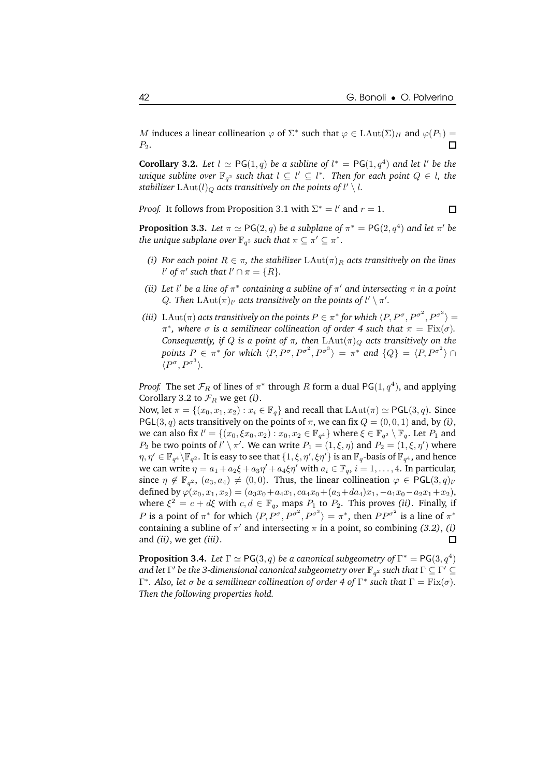M induces a linear collineation  $\varphi$  of  $\Sigma^*$  such that  $\varphi \in \text{LAut}(\Sigma)_H$  and  $\varphi(P_1) =$  $P_2$ .

**Corollary 3.2.** Let  $l \simeq PG(1, q)$  be a subline of  $l^* = PG(1, q^4)$  and let l' be the  $u$ nique subline over  $\mathbb{F}_{q^2}$  such that  $l \subseteq l' \subseteq l^*$ . Then for each point  $Q \in l$ , the *stabilizer*  $\text{LAut}(l)_Q$  *acts transitively on the points of l'*  $\setminus$  *l.* 

*Proof.* It follows from Proposition 3.1 with  $\Sigma^* = l'$  and  $r = 1$ .

 $\Box$ 

**Proposition 3.3.** Let  $\pi \simeq \mathsf{PG}(2,q)$  be a subplane of  $\pi^* = \mathsf{PG}(2,q^4)$  and let  $\pi'$  be the unique subplane over  $\mathbb{F}_{q^2}$  such that  $\pi \subseteq \pi' \subseteq \pi^*.$ 

- *(i) For each point*  $R \in \pi$ *, the stabilizer*  $LAut(\pi)_R$  *acts transitively on the lines* l' of  $\pi'$  such that  $l' \cap \pi = \{R\}.$
- *(ii)* Let *l'* be a line of  $\pi^*$  containing a subline of  $\pi'$  and intersecting  $\pi$  in a point Q. Then  $\text{LAut}(\pi)_l$  acts transitively on the points of  $l' \setminus \pi'.$
- *(iii)* LAut $(\pi)$  *acts transitively on the points*  $P \in \pi^*$  *for which*  $\langle P, P^{\sigma}, P^{\sigma^2}, P^{\sigma^3} \rangle =$  $π^*$ , where  $σ$  is a semilinear collineation of order 4 such that  $π = \text{Fix}(σ)$ . *Consequently, if Q is a point of*  $\pi$ *, then*  $LAut(\pi)_{Q}$  *acts transitively on the points*  $P_{\alpha} \in \pi^*$  *for which*  $\langle P, P^{\sigma}, P^{\sigma^2}, P^{\sigma^3} \rangle = \pi^*$  and  $\{Q\} = \langle P, P^{\sigma^2} \rangle \cap$  $\langle P^{\sigma}, P^{\sigma^3} \rangle.$

*Proof.* The set  $\mathcal{F}_R$  of lines of  $\pi^*$  through R form a dual PG(1,  $q^4$ ), and applying Corollary 3.2 to  $\mathcal{F}_R$  we get *(i)*.

Now, let  $\pi = \{(x_0, x_1, x_2) : x_i \in \mathbb{F}_q\}$  and recall that  $\text{LAut}(\pi) \simeq \text{PGL}(3, q)$ . Since PGL(3, q) acts transitively on the points of  $\pi$ , we can fix  $Q = (0, 0, 1)$  and, by (i), we can also fix  $l' = \{(x_0, \xi x_0, x_2) : x_0, x_2 \in \mathbb{F}_{q^4}\}$  where  $\xi \in \mathbb{F}_{q^2} \setminus \mathbb{F}_q$ . Let  $P_1$  and  $P_2$  be two points of  $l' \setminus \pi'$ . We can write  $P_1 = (1, \xi, \eta)$  and  $P_2 = (1, \xi, \eta')$  where  $\eta, \eta' \in \mathbb{F}_{q^4} \backslash \mathbb{F}_{q^2}$ . It is easy to see that  $\{1, \xi, \eta', \xi\eta'\}$  is an  $\mathbb{F}_q$ -basis of  $\mathbb{F}_{q^4}$ , and hence we can write  $\eta = a_1 + a_2\xi + a_3\eta' + a_4\xi\eta'$  with  $a_i \in \mathbb{F}_q$ ,  $i = 1, \ldots, 4$ . In particular, since  $\eta \notin \mathbb{F}_{q^2}$ ,  $(a_3, a_4) \neq (0, 0)$ . Thus, the linear collineation  $\varphi \in \mathsf{PGL}(3, q)_\ell$ defined by  $\varphi(x_0, x_1, x_2) = (a_3x_0 + a_4x_1, ca_4x_0 + (a_3 + da_4)x_1, -a_1x_0 - a_2x_1 + x_2),$ where  $\xi^2 = c + d\xi$  with  $c, d \in \mathbb{F}_q$ , maps  $P_1$  to  $P_2$ . This proves *(ii)*. Finally, if *P* is a point of  $\pi^*$  for which  $\langle P, P^{\sigma}, P^{\sigma^2}, P^{\sigma^3} \rangle = \pi^*$ , then  $PP^{\sigma^2}$  is a line of  $\pi^*$ containing a subline of  $\pi'$  and intersecting  $\pi$  in a point, so combining *(3.2)*, *(i)* and *(ii)*, we get *(iii)*.  $\Box$ 

**Proposition 3.4.** Let  $\Gamma \simeq \mathsf{PG}(3,q)$  be a canonical subgeometry of  $\Gamma^* = \mathsf{PG}(3,q^4)$  $d$  *and let*  $\Gamma'$  *be the 3-dimensional canonical subgeometry over*  $\mathbb{F}_{q^2}$  *such that*  $\Gamma \subseteq \Gamma' \subseteq \Gamma'$ *Γ***\*. Also, let**  $\sigma$  **be a semilinear collineation of order 4 of Γ\* such that**  $\Gamma = \text{Fix}(\sigma)$ *. Then the following properties hold.*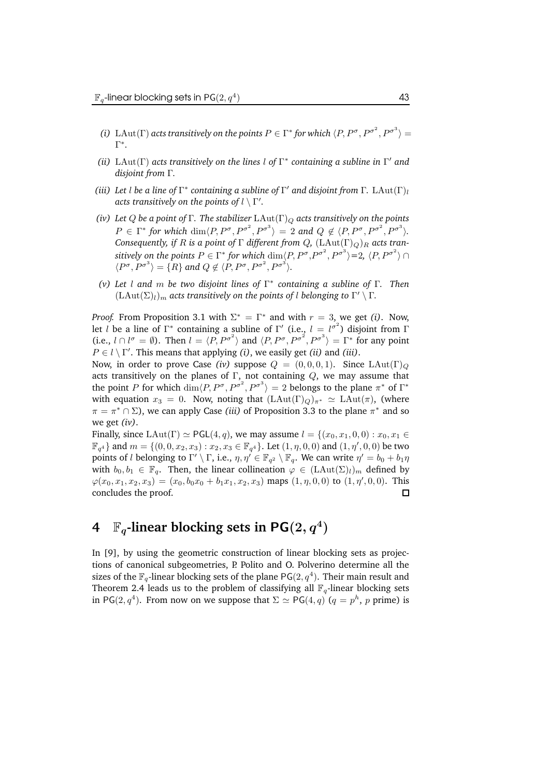- *(i)* LAut( $\Gamma$ ) acts transitively on the points  $P \in \Gamma^*$  for which  $\langle P, P^{\sigma}, P^{\sigma^2}, P^{\sigma^3} \rangle =$ Γ ∗ *.*
- *(ii)* LAut( $\Gamma$ ) *acts transitively on the lines l of*  $\Gamma$ <sup>\*</sup> *containing a subline in*  $\Gamma'$  *and disjoint from* Γ*.*
- *(iii)* Let  $l$  be a line of  $\Gamma^*$  containing a subline of  $\Gamma'$  and disjoint from  $\Gamma$ . LAut $(\Gamma)_l$ *acts transitively on the points of*  $l \setminus \Gamma'$ .
- *(iv)* Let *Q* be a point of  $\Gamma$ . The stabilizer  $LAut(\Gamma)_{Q}$  acts transitively on the points  $P \in \Gamma^*$  for which  $\dim \langle P, P^{\sigma}, P^{\sigma^2}, P^{\sigma^3} \rangle = 2$  and  $Q \notin \langle P, P^{\sigma}, P^{\sigma^2}, P^{\sigma^3} \rangle$ . *Consequently, if R is a point of*  $\Gamma$  *different from*  $Q$ *,*  $(LAut(\Gamma)_{Q})_{R}$  *acts tran* $s$ *itively on the points*  $P \in \Gamma^*$  *for which*  $\dim\{P,P^{\sigma},P^{\sigma^2},P^{\sigma^3}\}$  $=$  *2,*  $\langle P,P^{\sigma^2}\rangle \cap$  $\langle P^{\sigma}, P^{\sigma^3} \rangle = \{R\}$  and  $Q \notin \langle P, P^{\sigma}, P^{\sigma^2}, P^{\sigma^3} \rangle$ .
- *(v) Let* l *and* m *be two disjoint lines of* Γ ∗ *containing a subline of* Γ*. Then*  $(\text{LAut}(\Sigma)_l)_m$  *acts transitively on the points of l belonging to*  $\Gamma' \setminus \Gamma$ *.*

*Proof.* From Proposition 3.1 with  $\Sigma^* = \Gamma^*$  and with  $r = 3$ , we get *(i)*. Now, let *l* be a line of  $\Gamma^*$  containing a subline of  $\Gamma'$  (i.e.,  $l = l^{\sigma^2}$ ) disjoint from  $\Gamma$ (i.e.,  $l \cap l^{\sigma} = \emptyset$ ). Then  $l = \langle P, P^{\sigma^2} \rangle$  and  $\langle P, P^{\sigma}, P^{\sigma^2}, P^{\sigma^3} \rangle = \Gamma^*$  for any point  $P \in l \setminus \Gamma'$ . This means that applying *(i)*, we easily get *(ii)* and *(iii)*.

Now, in order to prove Case *(iv)* suppose  $Q = (0, 0, 0, 1)$ . Since LAut $(\Gamma)_{\mathcal{Q}}$ acts transitively on the planes of Γ, not containing  $Q$ , we may assume that the point P for which  $\dim \langle P, P^{\sigma}, P^{\sigma^2}, P^{\sigma^3} \rangle = 2$  belongs to the plane  $\pi^*$  of  $\Gamma^*$ with equation  $x_3 = 0$ . Now, noting that  $(LAut(\Gamma)_Q)_{\pi^*} \simeq LAut(\pi)$ , (where  $\pi = \pi^* \cap \Sigma$ ), we can apply Case *(iii)* of Proposition 3.3 to the plane  $\pi^*$  and so we get *(iv)*.

Finally, since LAut(Γ)  $\simeq$  PGL(4, q), we may assume  $l = \{(x_0, x_1, 0, 0) : x_0, x_1 \in$  $\mathbb{F}_{q^4}$  and  $m = \{(0, 0, x_2, x_3) : x_2, x_3 \in \mathbb{F}_{q^4}\}$ . Let  $(1, \eta, 0, 0)$  and  $(1, \eta', 0, 0)$  be two points of  $l$  belonging to  $\Gamma' \setminus \Gamma$ , i.e.,  $\eta, \eta' \in \mathbb{F}_{q^2} \setminus \mathbb{F}_q$ . We can write  $\eta' = b_0 + b_1 \eta$ with  $b_0, b_1 \in \mathbb{F}_q$ . Then, the linear collineation  $\varphi \in (LAut(\Sigma)_l)_m$  defined by  $\varphi(x_0, x_1, x_2, x_3) = (x_0, b_0x_0 + b_1x_1, x_2, x_3)$  maps  $(1, \eta, 0, 0)$  to  $(1, \eta', 0, 0)$ . This concludes the proof.  $\Box$ 

## **4**  $\mathbb{F}_q$ -linear blocking sets in  $\mathsf{PG}(2,q^4)$

In [9], by using the geometric construction of linear blocking sets as projections of canonical subgeometries, P. Polito and O. Polverino determine all the sizes of the  $\mathbb{F}_q$ -linear blocking sets of the plane PG $(2,q^4).$  Their main result and Theorem 2.4 leads us to the problem of classifying all  $\mathbb{F}_q$ -linear blocking sets in PG(2,  $q^4$ ). From now on we suppose that  $\Sigma \simeq \text{PG}(4,q)$  ( $q = p^h$ , p prime) is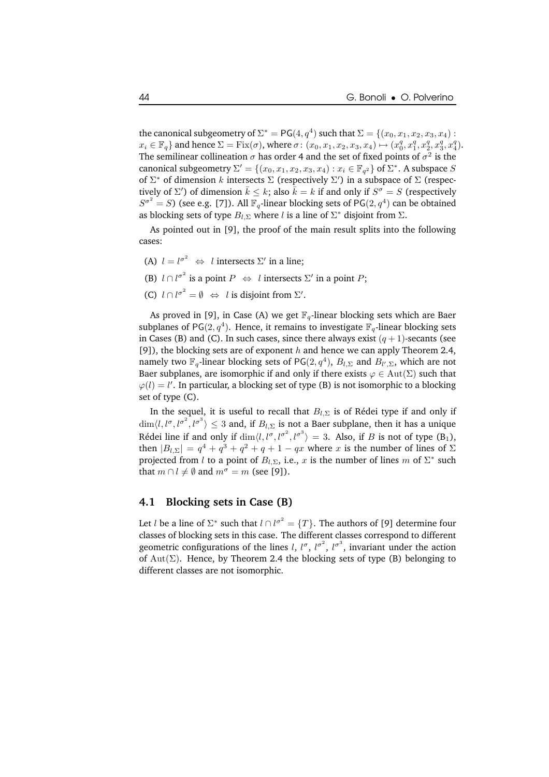the canonical subgeometry of  $\Sigma^* = \mathsf{PG}(4,q^4)$  such that  $\Sigma = \{(x_0, x_1, x_2, x_3, x_4) :$  $x_i \in \mathbb{F}_q$  and hence  $\Sigma = \text{Fix}(\sigma)$ , where  $\sigma: (x_0, x_1, x_2, x_3, x_4) \mapsto (x_0^q, x_1^q, x_2^q, x_3^q, x_4^q)$ . The semilinear collineation  $\sigma$  has order 4 and the set of fixed points of  $\sigma^2$  is the canonical subgeometry  $\Sigma' = \{(x_0, x_1, x_2, x_3, x_4) : x_i \in \mathbb{F}_{q^2}\}$  of  $\Sigma^*$ . A subspace  $S$ of  $\Sigma^*$  of dimension k intersects  $\Sigma$  (respectively  $\Sigma'$ ) in a subspace of  $\Sigma$  (respectively of  $\Sigma'$ ) of dimension  $\bar{k} \leq k$ ; also  $\bar{k} = k$  if and only if  $S^{\sigma} = S$  (respectively  $S^{\sigma^2} = S$ ) (see e.g. [7]). All  $\mathbb{F}_q$ -linear blocking sets of PG(2,  $q^4$ ) can be obtained as blocking sets of type  $B_{l,\Sigma}$  where  $l$  is a line of  $\Sigma^*$  disjoint from  $\Sigma.$ 

As pointed out in [9], the proof of the main result splits into the following cases:

- (A)  $l = l^{\sigma^2} \Leftrightarrow l$  intersects  $\Sigma'$  in a line;
- (B)  $l \cap l^{\sigma^2}$  is a point  $P \iff l$  intersects  $\Sigma'$  in a point  $P$ ;
- (C)  $l \cap l^{\sigma^2} = \emptyset \Leftrightarrow l$  is disjoint from  $\Sigma'$ .

As proved in [9], in Case (A) we get  $\mathbb{F}_q$ -linear blocking sets which are Baer subplanes of PG(2,  $q^4$ ). Hence, it remains to investigate  $\mathbb{F}_q$ -linear blocking sets in Cases (B) and (C). In such cases, since there always exist  $(q + 1)$ -secants (see [9]), the blocking sets are of exponent  $h$  and hence we can apply Theorem 2.4, namely two  $\mathbb{F}_q$ -linear blocking sets of PG $(2,q^4)$ ,  $B_{l,\Sigma}$  and  $B_{l',\Sigma}$ , which are not Baer subplanes, are isomorphic if and only if there exists  $\varphi \in Aut(\Sigma)$  such that  $\varphi(l) = l'$ . In particular, a blocking set of type (B) is not isomorphic to a blocking set of type (C).

In the sequel, it is useful to recall that  $B_{l,\Sigma}$  is of Rédei type if and only if  $\dim \langle l, l^{\sigma}, l^{\sigma^2}, l^{\sigma^3} \rangle \leq 3$  and, if  $B_{l, \Sigma}$  is not a Baer subplane, then it has a unique Rédei line if and only if  $\dim \langle l, l^{\sigma}, l^{\sigma^2}, l^{\sigma^3} \rangle = 3$ . Also, if B is not of type  $(B_1)$ , then  $|B_{l,\Sigma}| = q^4 + q^3 + q^2 + q + 1 - qx$  where x is the number of lines of  $\Sigma$ projected from l to a point of  $B_{l,\Sigma}$ , i.e., x is the number of lines m of  $\Sigma^*$  such that  $m \cap l \neq \emptyset$  and  $m^{\sigma} = m$  (see [9]).

#### **4.1 Blocking sets in Case (B)**

Let *l* be a line of  $\Sigma^*$  such that  $l \cap l^{\sigma^2} = \{T\}$ . The authors of [9] determine four classes of blocking sets in this case. The different classes correspond to different geometric configurations of the lines *l*, *l*<sup> $\sigma$ </sup>, *l*<sup> $\sigma$ </sup><sup>2</sup>, *l*<sup> $\sigma$ </sup><sup>3</sup>, invariant under the action of  $Aut(\Sigma)$ . Hence, by Theorem 2.4 the blocking sets of type (B) belonging to different classes are not isomorphic.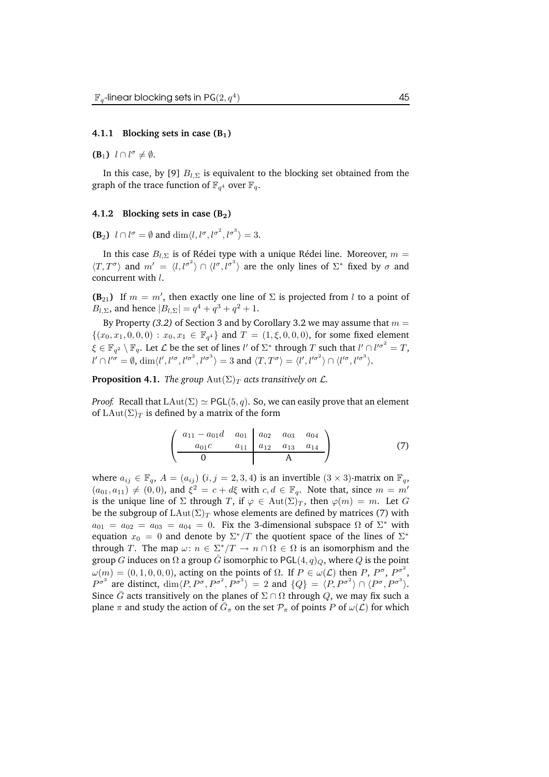#### **4.1.1 Blocking sets in case (B**1**)**

**(B**<sub>1</sub>)  $l \cap l^{\sigma} \neq \emptyset$ .

In this case, by [9]  $B_{l,\Sigma}$  is equivalent to the blocking set obtained from the graph of the trace function of  $\mathbb{F}_{q^4}$  over  $\mathbb{F}_q$ .

#### **4.1.2 Blocking sets in case (B**2**)**

**(B**<sub>2</sub>)  $l \cap l^{\sigma} = \emptyset$  and  $\dim \langle l, l^{\sigma}, l^{\sigma^2}, l^{\sigma^3} \rangle = 3.$ 

In this case  $B_{l,\Sigma}$  is of Rédei type with a unique Rédei line. Moreover,  $m =$  $\langle T, T^{\sigma} \rangle$  and  $m' = \langle l, l^{\sigma^2} \rangle \cap \langle l^{\sigma}, l^{\sigma^3} \rangle$  are the only lines of  $\Sigma^*$  fixed by  $\sigma$  and concurrent with l.

**(B**<sub>21</sub>) If  $m = m'$ , then exactly one line of  $\Sigma$  is projected from l to a point of  $B_{l,\Sigma}$ , and hence  $|B_{l,\Sigma}| = q^4 + q^3 + q^2 + 1$ .

By Property (3.2) of Section 3 and by Corollary 3.2 we may assume that  $m =$  $\{(x_0, x_1, 0, 0, 0) : x_0, x_1 \in \mathbb{F}_{q^4}\}\$ and  $T = (1, \xi, 0, 0, 0)$ , for some fixed element  $\xi \in \mathbb{F}_{q^2} \setminus \mathbb{F}_q$ . Let  $\mathcal L$  be the set of lines l' of  $\Sigma^*$  through T such that  $l' \cap l'^{\sigma^2} = T$ ,  $l' \cap l'^{\sigma} = \emptyset$ ,  $\dim \langle l', l'^{\sigma}, l'^{\sigma^2}, l'^{\sigma^3} \rangle = 3$  and  $\langle T, T^{\sigma} \rangle = \langle l', l'^{\sigma^2} \rangle \cap \langle l'^{\sigma}, l'^{\sigma^3} \rangle$ .

**Proposition 4.1.** *The group*  $\text{Aut}(\Sigma)_T$  *acts transitively on L.* 

*Proof.* Recall that  $\text{LAut}(\Sigma) \simeq \text{PGL}(5, q)$ . So, we can easily prove that an element of  $\text{LAut}(\Sigma)_T$  is defined by a matrix of the form

$$
\begin{pmatrix} a_{11} - a_{01}d & a_{01} & a_{02} & a_{03} & a_{04} \\ a_{01}c & a_{11} & a_{12} & a_{13} & a_{14} \\ \hline 0 & A & A \end{pmatrix}
$$
 (7)

where  $a_{ij} \in \mathbb{F}_q$ ,  $A = (a_{ij})$   $(i, j = 2, 3, 4)$  is an invertible  $(3 \times 3)$ -matrix on  $\mathbb{F}_q$ ,  $(a_{01}, a_{11}) \neq (0, 0)$ , and  $\xi^2 = c + d\xi$  with  $c, d \in \mathbb{F}_q$ . Note that, since  $m = m'$ is the unique line of  $\Sigma$  through T, if  $\varphi \in Aut(\Sigma)^T$ , then  $\varphi(m) = m$ . Let G be the subgroup of  $\text{LAut}(\Sigma)_T$  whose elements are defined by matrices (7) with  $a_{01} = a_{02} = a_{03} = a_{04} = 0$ . Fix the 3-dimensional subspace  $\Omega$  of  $\Sigma^*$  with equation  $x_0\,=\,0$  and denote by  $\Sigma^*/T$  the quotient space of the lines of  $\Sigma^*$ through T. The map  $\omega: n \in \sum_{i=1}^{k} T \to n \cap \Omega \in \Omega$  is an isomorphism and the group G induces on  $\Omega$  a group  $\overline{G}$  isomorphic to PGL(4, q)<sub>Q</sub>, where Q is the point  $\omega(m) = (0, 1, 0, 0, 0)$ , acting on the points of  $\Omega$ . If  $P \in \omega(\mathcal{L})$  then P,  $P^{\sigma}$ ,  $P^{\sigma^2}$ ,  $P^{\sigma^3}$  are distinct,  $\dim \langle P, P^{\sigma}, P^{\sigma^2}, P^{\sigma^3} \rangle = 2$  and  $\{Q\} = \langle P, P^{\sigma^2} \rangle \cap \langle P^{\sigma}, P^{\sigma^3} \rangle$ . Since  $\bar{G}$  acts transitively on the planes of  $\Sigma \cap \Omega$  through Q, we may fix such a plane  $\pi$  and study the action of  $\bar{G}_{\pi}$  on the set  $\mathcal{P}_{\pi}$  of points  $P$  of  $\omega(\mathcal{L})$  for which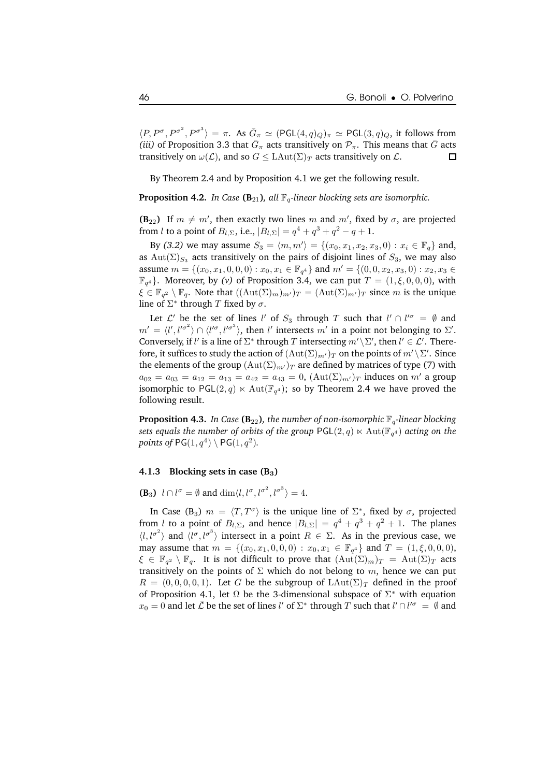$\langle P, P^{\sigma}, P^{\sigma^2}, P^{\sigma^3} \rangle = \pi$ . As  $\bar{G}_{\pi} \simeq (\text{PGL}(4,q)_Q)_{\pi} \simeq \text{PGL}(3,q)_Q$ , it follows from *(iii)* of Proposition 3.3 that  $\bar{G}_{\pi}$  acts transitively on  $\mathcal{P}_{\pi}$ . This means that  $\bar{G}$  acts transitively on  $\omega(\mathcal{L})$ , and so  $G \leq \text{LAut}(\Sigma)_T$  acts transitively on  $\mathcal{L}$ .

By Theorem 2.4 and by Proposition 4.1 we get the following result.

**Proposition 4.2.** *In Case* ( $B_{21}$ ), *all*  $\mathbb{F}_q$ -linear blocking sets are isomorphic.

**(B**<sub>22</sub>) If  $m \neq m'$ , then exactly two lines m and m', fixed by  $\sigma$ , are projected from l to a point of  $B_{l,\Sigma}$ , i.e.,  $|B_{l,\Sigma}| = q^4 + q^3 + q^2 - q + 1$ .

By (3.2) we may assume  $S_3 = \langle m, m' \rangle = \{(x_0, x_1, x_2, x_3, 0) : x_i \in \mathbb{F}_q\}$  and, as Aut( $\Sigma$ )<sub>S3</sub> acts transitively on the pairs of disjoint lines of S<sub>3</sub>, we may also assume  $m = \{(x_0, x_1, 0, 0, 0) : x_0, x_1 \in \mathbb{F}_{q^4}\}\$  and  $m' = \{(0, 0, x_2, x_3, 0) : x_2, x_3 \in$  $\mathbb{F}_{q^4}$ }. Moreover, by *(v)* of Proposition 3.4, we can put  $T = (1, \xi, 0, 0, 0)$ , with  $\xi \in \mathbb{F}_{q^2} \setminus \mathbb{F}_q$ . Note that  $((\text{Aut}(\Sigma)_m)_{m'})_T = (\text{Aut}(\Sigma)_{m'})_T$  since m is the unique line of  $\Sigma^*$  through  $T$  fixed by  $\sigma$ .

Let  $\mathcal{L}'$  be the set of lines l' of  $S_3$  through T such that  $l' \cap l'^{\sigma} = \emptyset$  and  $m' = \langle l', l'^{\sigma^2} \rangle \cap \langle l'^{\sigma}, l'^{\sigma^3} \rangle$ , then l' intersects m' in a point not belonging to  $\Sigma'$ . Conversely, if  $l'$  is a line of  $\Sigma^*$  through  $T$  intersecting  $m'\setminus \Sigma'$ , then  $l'\in \mathcal{L}'$ . Therefore, it suffices to study the action of  $(\mathrm{Aut}(\Sigma)_{m'})_T$  on the points of  $m' \backslash \Sigma'$ . Since the elements of the group  $(Aut(\Sigma)_{m'})_T$  are defined by matrices of type (7) with  $a_{02} = a_{03} = a_{12} = a_{13} = a_{42} = a_{43} = 0$ ,  $(\text{Aut}(\Sigma)_{m'})_T$  induces on m' a group isomorphic to PGL $(2,q)\ltimes \operatorname{Aut}(\mathbb{F}_{q^4});$  so by Theorem 2.4 we have proved the following result.

**Proposition 4.3.** *In Case* ( $\mathbf{B}_{22}$ )*, the number of non-isomorphic*  $\mathbb{F}_q$ *-linear blocking*  $s$ ets equals the number of orbits of the group  $\mathsf{PGL}(2,q)\ltimes \mathrm{Aut}(\mathbb{F}_{q^4})$  acting on the points of  $PG(1, q^4) \setminus PG(1, q^2)$ *.* 

#### **4.1.3 Blocking sets in case (B**3**)**

**(B**<sub>3</sub>)  $l \cap l^{\sigma} = \emptyset$  and  $\dim \langle l, l^{\sigma}, l^{\sigma^2}, l^{\sigma^3} \rangle = 4.$ 

In Case (B<sub>3</sub>)  $m = \langle T, T^{\sigma} \rangle$  is the unique line of  $\Sigma^*$ , fixed by  $\sigma$ , projected from l to a point of  $B_{l,\Sigma}$ , and hence  $|B_{l,\Sigma}| = q^4 + q^3 + q^2 + 1$ . The planes  $\langle l, l^{\sigma^2} \rangle$  and  $\langle l^{\sigma}, l^{\sigma^3} \rangle$  intersect in a point  $R \in \Sigma$ . As in the previous case, we may assume that  $m = \{(x_0, x_1, 0, 0, 0) : x_0, x_1 \in \mathbb{F}_{q^4}\}\$  and  $T = (1, \xi, 0, 0, 0),$  $\xi \in \mathbb{F}_{q^2} \setminus \mathbb{F}_q$ . It is not difficult to prove that  $(\mathrm{Aut}(\Sigma)_m)_T = \mathrm{Aut}(\Sigma)_T$  acts transitively on the points of  $\Sigma$  which do not belong to m, hence we can put  $R = (0, 0, 0, 0, 1)$ . Let G be the subgroup of  $\text{LAut}(\Sigma)_T$  defined in the proof of Proposition 4.1, let  $\Omega$  be the 3-dimensional subspace of  $\Sigma^*$  with equation  $x_0 = 0$  and let  $\bar{\mathcal{L}}$  be the set of lines l' of  $\Sigma^*$  through T such that  $l' \cap l'^{\sigma} = \emptyset$  and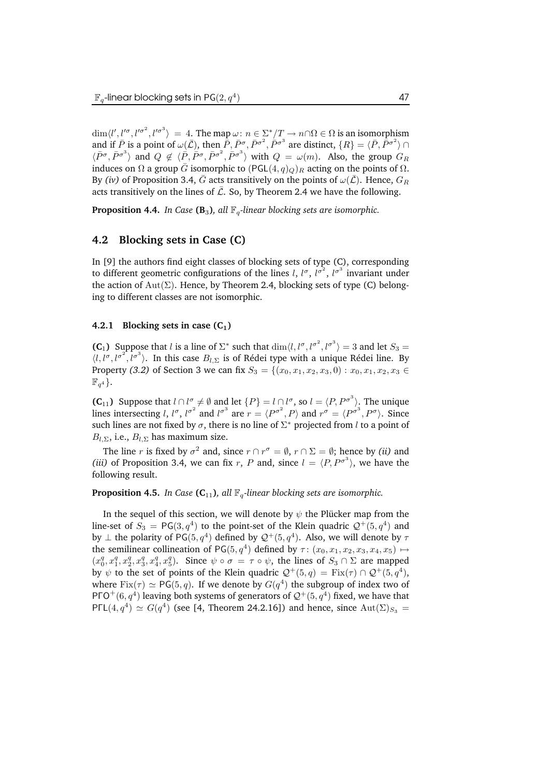$\dim \langle l', l'^{\sigma^2}, l'^{\sigma^2} \rangle = 4$ . The map  $\omega : n \in \sum_{i=2}^{k} \langle T \rangle \to n \cap \Omega \in \Omega$  is an isomorphism and if  $\bar{P}$  is a point of  $\omega(\bar{\mathcal{L}})$ , then  $\bar{P}$ ,  $\bar{P}^{\sigma}$ ,  $\bar{P}^{\sigma^2}$ ,  $\bar{P}^{\sigma^3}$  are distinct,  $\{R\} = \langle \bar{P}, \bar{P}^{\sigma^2} \rangle \cap \langle \bar{P}^{\sigma}, \bar{P}^{\sigma^3} \rangle$  and  $Q \notin \langle \bar{P}, \bar{P}^{\sigma}, \bar{P}^{\sigma^2}, \bar{P}^{\sigma^3} \rangle$  wi induces on Ω a group  $\bar{G}$  isomorphic to  $(PGL(4, q)<sub>Q</sub>)<sub>R</sub>$  acting on the points of  $Ω$ . By *(iv)* of Proposition 3.4,  $\bar{G}$  acts transitively on the points of  $\omega(\bar{\mathcal{L}})$ . Hence,  $G_R$ acts transitively on the lines of  $\overline{L}$ . So, by Theorem 2.4 we have the following.

**Proposition 4.4.** *In Case* ( $\mathbf{B}_3$ )*, all*  $\mathbb{F}_q$ -linear blocking sets are isomorphic.

#### **4.2 Blocking sets in Case (C)**

In [9] the authors find eight classes of blocking sets of type (C), corresponding to different geometric configurations of the lines l,  $l^{\sigma}$ ,  $l^{\sigma^2}$ ,  $l^{\sigma^3}$  invariant under the action of  $Aut(\Sigma)$ . Hence, by Theorem 2.4, blocking sets of type (C) belonging to different classes are not isomorphic.

#### **4.2.1 Blocking sets** in case  $(C_1)$

**(C<sub>1</sub>)** Suppose that l is a line of  $\Sigma^*$  such that  $\dim\langle l, l^{\sigma}, l^{\sigma^2}, l^{\sigma^3}\rangle = 3$  and let  $S_3 =$  $\langle l, l^{\sigma}, l^{\sigma^2}, l^{\sigma^3} \rangle$ . In this case  $B_{l, \Sigma}$  is of Rédei type with a unique Rédei line. By Property *(3.2)* of Section 3 we can fix  $S_3 = \{(x_0, x_1, x_2, x_3, 0) : x_0, x_1, x_2, x_3 \in$  $\mathbb{F}_{q^4}$ .

**(C**<sub>11</sub>) Suppose that  $l \cap l^{\sigma} \neq \emptyset$  and let  $\{P\} = l \cap l^{\sigma}$ , so  $l = \langle P, P^{\sigma^3} \rangle$ . The unique lines intersecting l,  $l^{\sigma}$ ,  $l^{\sigma^2}$  and  $l^{\sigma^3}$  are  $r = \langle P^{\sigma^2}, P \rangle$  and  $r^{\sigma} = \langle P^{\sigma^3}, P^{\sigma} \rangle$ . Since such lines are not fixed by  $\sigma$ , there is no line of  $\Sigma^*$  projected from  $l$  to a point of  $B_{l,\Sigma}$ , i.e.,  $B_{l,\Sigma}$  has maximum size.

The line *r* is fixed by  $\sigma^2$  and, since  $r \cap r^{\sigma} = \emptyset$ ,  $r \cap \Sigma = \emptyset$ ; hence by *(ii)* and (*iii*) of Proposition 3.4, we can fix r, P and, since  $l = \langle P, P^{\sigma^3} \rangle$ , we have the following result.

#### **Proposition 4.5.** *In Case* ( $C_{11}$ )*, all*  $\mathbb{F}_q$ -linear *blocking sets are isomorphic.*

In the sequel of this section, we will denote by  $\psi$  the Plücker map from the line-set of  $S_3 = PG(3, q^4)$  to the point-set of the Klein quadric  $Q^+(5, q^4)$  and by  $\perp$  the polarity of PG(5,  $q^4$ ) defined by  $\mathcal{Q}^+(5,q^4)$ . Also, we will denote by  $\tau$ the semilinear collineation of  $PG(5, q<sup>4</sup>)$  defined by  $\tau$ :  $(x_0, x_1, x_2, x_3, x_4, x_5) \mapsto$  $(x_0^q, x_1^q, x_2^q, x_3^q, x_4^q, x_5^q)$ . Since  $\psi \circ \sigma = \tau \circ \psi$ , the lines of  $S_3 \cap \Sigma$  are mapped by  $\psi$  to the set of points of the Klein quadric  $\mathcal{Q}^+(5,q) = \text{Fix}(\tau) \cap \mathcal{Q}^+(5,q^4)$ , where  $Fix(\tau) \simeq PG(5, q)$ . If we denote by  $G(q^4)$  the subgroup of index two of PГO $^+(6,q^4)$  leaving both systems of generators of  $\mathcal{Q}^+(5,q^4)$  fixed, we have that PΓL $(4, q<sup>4</sup>) \simeq G(q<sup>4</sup>)$  (see [4, Theorem 24.2.16]) and hence, since  $Aut(\Sigma)_{S_3}$  =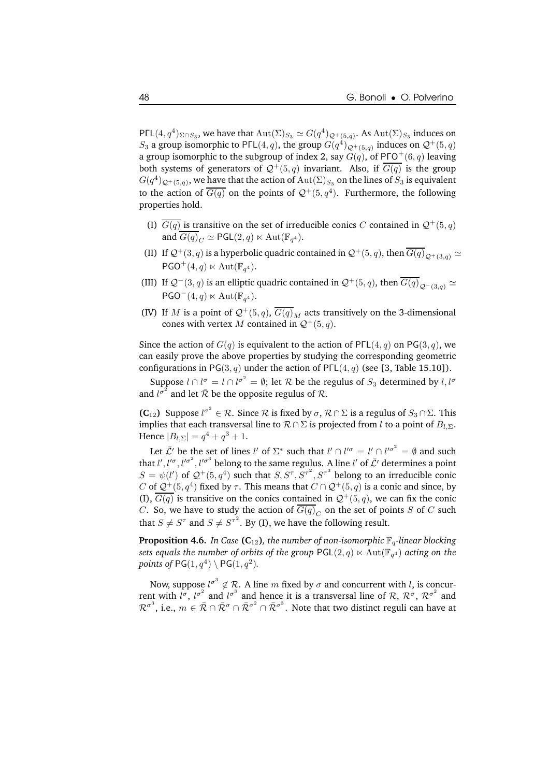$\mathsf{P}\mathsf{FL}(4, q^4)_{\Sigma \cap S_3}$ , we have that  $\mathrm{Aut}(\Sigma)_{S_3}\simeq G(q^4)_{\mathcal{Q}^+(5,q)}.$  As  $\mathrm{Aut}(\Sigma)_{S_3}$  induces on  $S_3$  a group isomorphic to PΓL(4, q), the group  $G(q^4)_{\mathcal{Q}^+(5,q)}$  induces on  $\mathcal{Q}^+(5,q)$ a group isomorphic to the subgroup of index 2, say  $G(q)$ , of PFO<sup>+</sup>(6, q) leaving both systems of generators of  $\mathcal{Q}^+(5,q)$  invariant. Also, if  $\overline{G(q)}$  is the group  $G(q^4)_{\mathcal{Q}^+(5,q)}$ , we have that the action of  $\mathrm{Aut}(\Sigma)_{S_3}$  on the lines of  $S_3$  is equivalent to the action of  $\overline{G(q)}$  on the points of  $\mathcal{Q}^+(5,q^4)$ . Furthermore, the following properties hold.

- (I)  $\overline{G(q)}$  is transitive on the set of irreducible conics C contained in  $\mathcal{Q}^+(5,q)$ and  $G(q)_C \simeq \mathsf{PGL}(2,q) \ltimes \mathrm{Aut}(\mathbb{F}_{q^4}).$
- (II) If  $\mathcal{Q}^+(3,q)$  is a hyperbolic quadric contained in  $\mathcal{Q}^+(5,q)$ , then  $\overline{G(q)}_{\mathcal{Q}^+(3,q)} \simeq$  $\mathsf{PGO}^+(4,q) \ltimes \mathrm{Aut}(\mathbb{F}_{q^4}).$
- (III) If  $Q^{-}(3, q)$  is an elliptic quadric contained in  $Q^{+}(5, q)$ , then  $\overline{G(q)}_{Q^{-}(3,q)} \simeq$  $PGO^-(4,q) \ltimes \mathrm{Aut}(\mathbb{F}_{q^4}).$
- (IV) If M is a point of  $\mathcal{Q}^+(5,q)$ ,  $\overline{G(q)}_M$  acts transitively on the 3-dimensional cones with vertex M contained in  $Q^+(5, q)$ .

Since the action of  $G(q)$  is equivalent to the action of PΓL(4, q) on PG(3, q), we can easily prove the above properties by studying the corresponding geometric configurations in PG(3, q) under the action of PΓL(4, q) (see [3, Table 15.10]).

Suppose  $l \cap l^{\sigma} = l \cap l^{\sigma^2} = \emptyset$ ; let  $\mathcal R$  be the regulus of  $S_3$  determined by  $l, l^{\sigma}$ and  $l^{\sigma^2}$  and let  $\bar{\mathcal{R}}$  be the opposite regulus of  $\mathcal{R}$ .

**(C**<sub>12</sub>) Suppose  $l^{\sigma^3} \in \mathcal{R}$ . Since  $\mathcal{R}$  is fixed by  $\sigma$ ,  $\mathcal{R} \cap \Sigma$  is a regulus of  $S_3 \cap \Sigma$ . This implies that each transversal line to  $\mathcal{R} \cap \Sigma$  is projected from l to a point of  $B_{l,\Sigma}$ . Hence  $|B_{l,\Sigma}| = q^4 + q^3 + 1$ .

Let  $\bar{\mathcal{L}}'$  be the set of lines l' of  $\Sigma^*$  such that  $l' \cap l'^{\sigma} = l' \cap l'^{\sigma^2} = \emptyset$  and such that  $l', l'^{\sigma}, l'^{\sigma^2}, l'^{\sigma^3}$  belong to the same regulus. A line  $l'$  of  $\bar{\mathcal{L}}'$  determines a point  $S = \psi(l')$  of  $\mathcal{Q}^+(5, q^4)$  such that  $S, S^{\tau}, S^{\tau^2}, S^{\tau^3}$  belong to an irreducible conic  $C$  of  $\mathcal{Q}^+(5,q^4)$  fixed by  $\tau$ . This means that  $C\cap\mathcal{Q}^+(5,q)$  is a conic and since, by (I),  $\overline{G(q)}$  is transitive on the conics contained in  $\mathcal{Q}^+(5,q)$ , we can fix the conic C. So, we have to study the action of  $G(q)_C$  on the set of points S of C such that  $S \neq S^{\tau}$  and  $S \neq S^{\tau^2}$ . By (I), we have the following result.

**Proposition 4.6.** *In Case* ( $C_{12}$ )*, the number of non-isomorphic*  $\mathbb{F}_q$ *-linear blocking*  $s$ ets equals the number of orbits of the group  $\mathsf{PGL}(2,q)\ltimes \mathrm{Aut}(\mathbb{F}_{q^4})$  acting on the points of  $PG(1, q^4) \setminus PG(1, q^2)$ *.* 

Now, suppose  $l^{\sigma^3} \notin \mathcal{R}$ . A line m fixed by  $\sigma$  and concurrent with l, is concurrent with  $l^{\sigma}$ ,  $l^{\sigma^2}$  and  $l^{\sigma^3}$  and hence it is a transversal line of  $\mathcal{R}$ ,  $\mathcal{R}^{\sigma}$ ,  $\mathcal{R}^{\sigma^2}$  and  $\mathcal{R}^{\sigma^3}$ , i.e.,  $m\in\bar{\mathcal{R}}\cap\bar{\mathcal{R}}^\sigma\cap\bar{\mathcal{R}}^{\sigma^2}\cap\bar{\mathcal{R}}^{\sigma^3}.$  Note that two distinct reguli can have at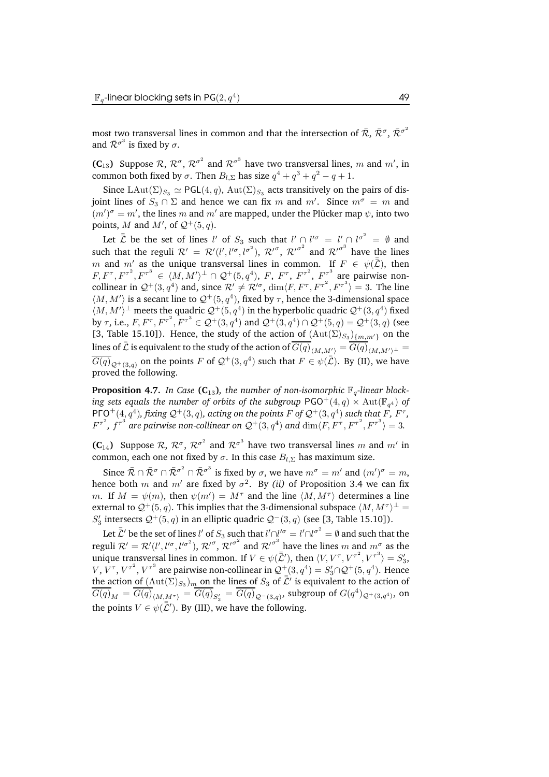most two transversal lines in common and that the intersection of  $\bar{\mathcal{R}}$ ,  $\bar{\mathcal{R}}^{\sigma}$ ,  $\bar{\mathcal{R}}^{\sigma^2}$ and  $\bar{\mathcal{R}}^{\sigma^3}$  is fixed by  $\sigma$ .

**(C**<sub>13</sub>) Suppose  $\mathcal{R}, \mathcal{R}^{\sigma}, \mathcal{R}^{\sigma^2}$  and  $\mathcal{R}^{\sigma^3}$  have two transversal lines, m and m', in common both fixed by  $\sigma$ . Then  $B_{l,\Sigma}$  has size  $q^4 + q^3 + q^2 - q + 1$ .

Since LAut( $\Sigma$ )<sub>S<sub>3</sub></sub>  $\simeq$  PGL(4, q), Aut( $\Sigma$ )<sub>S<sub>3</sub></sub> acts transitively on the pairs of disjoint lines of  $S_3 \cap \Sigma$  and hence we can fix m and m'. Since  $m^{\sigma} = m$  and  $(m')^{\sigma} = m'$ , the lines m and m' are mapped, under the Plücker map  $\psi$ , into two points, M and M', of  $\mathcal{Q}^+(5,q)$ .

Let  $\bar{\bar{\mathcal{L}}}$  be the set of lines l' of  $S_3$  such that  $l' \cap l'^{\sigma} = l' \cap l^{\sigma^2} = \emptyset$  and such that the reguli  $\mathcal{R}' = \mathcal{R}'(l',l'^{\sigma},l^{\sigma^2}), \mathcal{R}'^{\sigma}, \mathcal{R}'^{\sigma^2}$  and  $\mathcal{R}'^{\sigma^3}$  have the lines m and  $m_2'$  as the unique transversal lines in common. If  $F \in \psi(\bar{\mathcal{L}})$ , then  $(F, F^\tau, F^{\tau^2}, F^{\tau^3}) \in \langle M, M' \rangle^\perp \cap \mathcal{Q}^+(5, q^4), F, F^\tau, F^{\tau^2}, F^{\tau^2}, F^{\tau^3}$  are pairwise noncollinear in  $\mathcal{Q}^+(3, q^4)$  and, since  $\mathcal{R}' \neq \mathcal{R}'^{\sigma}$ ,  $\dim \langle F, F^{\tau}, F^{\tau^2}, F^{\tau^3} \rangle = 3$ . The line  $\langle M,M'\rangle$  is a secant line to  $\mathcal{Q}^+(5,q^4)$ , fixed by  $\tau$ , hence the 3-dimensional space  $\langle M,M'\rangle^\perp$  meets the quadric  $\mathcal{Q}^+(5,q^4)$  in the hyperbolic quadric  $\mathcal{Q}^+(3,q^4)$  fixed by  $\tau$ , i.e.,  $F$ ,  $F^{\tau}$ ,  $F^{\tau^2}$ ,  $F^{\tau^3} \in \mathcal{Q}^+(3, q^4)$  and  $\mathcal{Q}^+(3, q^4) \cap \mathcal{Q}^+(5, q) = \mathcal{Q}^+(3, q)$  (see [3, Table 15.10]). Hence, the study of the action of  $(\text{Aut}(\Sigma)_{S_3})_{\{m,m'\}}$  on the lines of  $\bar{\bar{\mathcal{L}}}$  is equivalent to the study of the action of  $\overline{G(q)}_{\langle M, M'\rangle} = \overline{G(q)}_{\langle M, M'\rangle^\perp} =$  $\overline{G(q)}_{\mathcal{Q}^{+}(3,q)}$  on the points F of  $\mathcal{Q}^{+}(3,q^4)$  such that  $F \in \psi(\overline{\mathcal{L}})$ . By (II), we have proved the following.

**Proposition 4.7.** *In Case* ( $C_{13}$ )*, the number of non-isomorphic*  $\mathbb{F}_q$ -linear *block* $i$ ng  $s$ ets equals the  $n$ umber of orbits of the  $s$ ubgroup  $\mathsf{PGO}^+(4,q) \ltimes \mathrm{Aut}(\mathbb{F}_{q^4})$  of  $\mathsf{PTQ}^+(4,q^4)$ , fixing  $\mathcal{Q}^+(3,q)$ , acting on the points  $F$  of  $\mathcal{Q}^+(3,q^4)$  such that  $F$ ,  $F^{\tau}$ ,  $F^{\tau^2}$ ,  $f^{\tau^3}$  are pairwise non-collinear on  $\mathcal{Q}^+(3,q^4)$  and  $\dim\langle F, F^\tau, F^{\tau^2}, F^{\tau^3}\rangle = 3$ .

**(C**<sub>14</sub>) Suppose  $\mathcal{R}$ ,  $\mathcal{R}^{\sigma}$ ,  $\mathcal{R}^{\sigma^2}$  and  $\mathcal{R}^{\sigma^3}$  have two transversal lines m and m' in common, each one not fixed by  $\sigma$ . In this case  $B_{l,\Sigma}$  has maximum size.

Since  $\bar{\mathcal{R}} \cap \bar{\mathcal{R}}^{\sigma} \cap \bar{\mathcal{R}}^{\sigma^2} \cap \bar{\mathcal{R}}^{\sigma^3}$  is fixed by  $\sigma$ , we have  $m^{\sigma} = m'$  and  $(m')^{\sigma} = m$ , hence both  $m$  and  $m'$  are fixed by  $\sigma^2$ . By *(ii)* of Proposition 3.4 we can fix m. If  $M = \psi(m)$ , then  $\psi(m') = M^{\tau}$  and the line  $\langle M, M^{\tau} \rangle$  determines a line external to  $\mathcal{Q}^+(5,q).$  This implies that the 3-dimensional subspace  $\langle M, M^\tau \rangle^\perp = \mathbb{E}$  $S'_{3}$  intersects  $\mathcal{Q}^{+}(5, q)$  in an elliptic quadric  $\mathcal{Q}^{-}(3, q)$  (see [3, Table 15.10]).

Let  $\bar{\bar{\mathcal{L}}}'$  be the set of lines l' of  $S_3$  such that  $l' \cap l'' = l' \cap l^{\sigma^2} = \emptyset$  and such that the reguli  $\mathcal{R}' = \mathcal{R}'(l', l'^{\sigma}, l'^{\sigma^2}), \mathcal{R}'^{\sigma}, \mathcal{R}'^{\sigma^2}$  and  $\mathcal{R}'^{\sigma^3}$  have the lines m and  $m^{\sigma}_{\sigma}$  as the unique transversal lines in common. If  $V \in \psi(\bar{\bar{\mathcal{L}}}')$ , then  $\langle V, V^{\tau}, V^{\tau^2}, V^{\tau^3} \rangle = S'_3$ ,  $V$ ,  $V^{\tau}$ ,  $V^{\tau^2}$ ,  $V^{\tau^3}$  are pairwise non-collinear in  $\mathcal{Q}^+$   $(3, q^4) = S'_3 \cap \mathcal{Q}^+ (5, q^4)$ . Hence the action of  $(Aut(\Sigma)_{S_3})_m$  on the lines of  $S_3$  of  $\overline{L}'$  is equivalent to the action of  $\overline{G(q)}_M = \overline{G(q)}_{\langle M, \underline{M}^\tau \rangle} = \overline{G(q)}_{S'_3} = \overline{G(q)}_{{\cal Q}^-(3,q)},$  subgroup of  $G(q^4)_{\cal Q^+(3,q^4)},$  on the points  $V \in \psi(\bar{\bar{\mathcal{L}}}')$ . By (III), we have the following.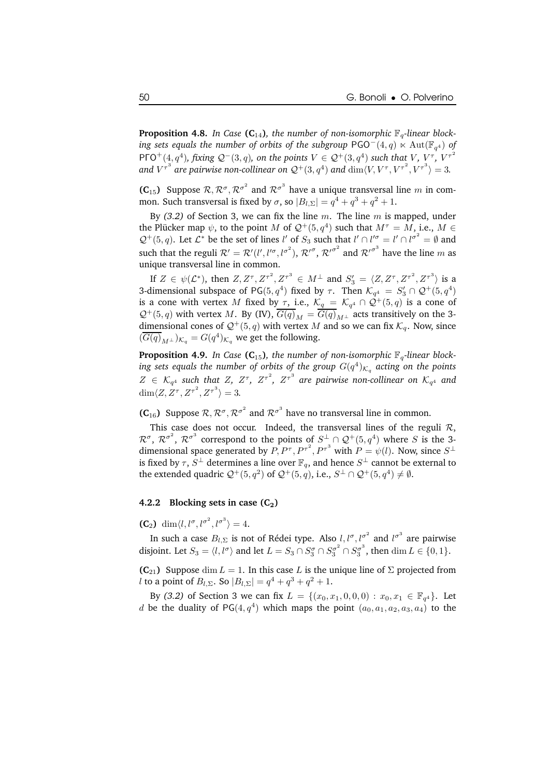**Proposition 4.8.** In Case (C<sub>14</sub>), the number of non-isomorphic  $\mathbb{F}_q$ -linear block $i$ ng  $s$ ets equals the  $n$ umber of  $or$ bits of the  $s$ ubgroup PGO $^-(4,q) \ltimes \operatorname{Aut}(\mathbb{F}_{q^4})$  of  $\mathsf{P}\mathsf{F}\mathsf{O}^+(\mathbf{4}, q^4)$ , fixing  $\mathcal{Q}^-(3, q)$ , on the points  $V \in \mathcal{Q}^+(3, q^4)$  such that  $V, V^\tau, V^{\tau^2}$ and  $V^{\tau^3}$  are pairwise non-collinear on  $\mathcal{Q}^+(3,q^4)$  and  $\dim \langle V, V^\tau, V^{\tau^2}, V^{\tau^3} \rangle = 3$ .

**(C**<sub>15</sub>) Suppose  $\mathcal{R}, \mathcal{R}^{\sigma}, \mathcal{R}^{\sigma^2}$  and  $\mathcal{R}^{\sigma^3}$  have a unique transversal line m in common. Such transversal is fixed by  $\sigma$ , so  $|B_{l,\Sigma}| = q^4 + q^3 + q^2 + 1$ .

By *(3.2)* of Section 3, we can fix the line m. The line m is mapped, under the Plücker map  $\psi$ , to the point M of  $\mathcal{Q}^+(5,q^4)$  such that  $M^\tau = M$ , i.e.,  $M \in$  $\mathcal{Q}^+(5,q)$ . Let  $\mathcal{L}^*$  be the set of lines l' of  $S_3$  such that  $l' \cap l'' = l' \cap l^{\sigma^2} = \emptyset$  and such that the reguli  $\mathcal{R}' = \mathcal{R}'(l', l'^{\sigma}, l^{\sigma^2}), \mathcal{R}'^{\sigma}, \mathcal{R}'^{\sigma^2}$  and  $\mathcal{R}'^{\sigma^3}$  have the line m as unique transversal line in common.

If  $Z \in \psi(\mathcal{L}^*)$ , then  $Z, Z^{\tau}, Z^{\tau^2}, Z^{\tau^3} \in M^{\perp}$  and  $S_3' = \langle Z, Z^{\tau}, Z^{\tau^2}, Z^{\tau^3} \rangle$  is a 3-dimensional subspace of PG(5,  $q^4$ ) fixed by  $\tau$ . Then  $\mathcal{K}_{q^4} = S'_3 \cap \mathcal{Q}^+(5, q^4)$ is a cone with vertex M fixed by  $\tau$ , i.e.,  $\mathcal{K}_q = \mathcal{K}_{q^4} \cap \mathcal{Q}^+(5,q)$  is a cone of  $Q^+(5, q)$  with vertex M. By (IV),  $\overline{G(q)}_M = \overline{G(q)}_{M^{\perp}}$  acts transitively on the 3dimensional cones of  $\mathcal{Q}^+(5,q)$  with vertex M and so we can fix  $\mathcal{K}_q$ . Now, since  $(\overline{G(q)}_{M^{\perp}})_{K_q} = G(q^4)_{K_q}$  we get the following.

**Proposition 4.9.** In Case ( $C_{15}$ ), the number of non-isomorphic  $\mathbb{F}_q$ -linear block $i$ ng  $s$ ets equals the number of orbits of the group  $G(q^4)_{\mathcal{K}_q}$  acting on the points  $Z \in \mathcal{K}_{q^4}$  such that  $Z$ ,  $Z^{\tau}$ ,  $Z^{\tau^2}$ ,  $Z^{\tau^3}$  are pairwise non-collinear on  $\mathcal{K}_{q^4}$  and  $\dim \langle Z, Z^{\tau}, Z^{\tau^2}, Z^{\tau^3} \rangle = 3.$ 

**(C**<sub>16</sub>) Suppose  $\mathcal{R}, \mathcal{R}^{\sigma}, \mathcal{R}^{\sigma^2}$  and  $\mathcal{R}^{\sigma^3}$  have no transversal line in common.

This case does not occur. Indeed, the transversal lines of the reguli  $\mathcal{R}$ ,  $\mathcal{R}^{\sigma}$ ,  $\mathcal{R}^{\sigma^2}$ ,  $\mathcal{R}^{\sigma^3}$  correspond to the points of  $S^{\perp}$   $\cap$   $\mathcal{Q}^+(5,q^4)$  where S is the 3dimensional space generated by  $P, P^{\tau}, P^{\tau^2}, P^{\tau^3}$  with  $P = \psi(l)$ . Now, since  $S^{\perp}$ is fixed by  $\tau, S^\perp$  determines a line over  $\mathbb{F}_q,$  and hence  $S^\perp$  cannot be external to the extended quadric  $\mathcal{Q}^+(5,q^2)$  of  $\mathcal{Q}^+(5,q)$ , i.e.,  $S^{\perp} \cap \mathcal{Q}^+(5,q^4) \neq \emptyset$ .

#### **4.2.2 Blocking sets** in case  $(C_2)$

**(C<sub>2</sub>)** dim $\langle l, l^{\sigma}, l^{\sigma^2}, l^{\sigma^3} \rangle = 4$ .

In such a case  $B_{l,\Sigma}$  is not of Rédei type. Also  $l,l^{\sigma},l^{\sigma^2}$  and  $l^{\sigma^3}$  are pairwise disjoint. Let  $S_3 = \langle l, l^{\sigma} \rangle$  and let  $L = S_3 \cap S_3^{\sigma} \cap S_3^{\sigma^2} \cap S_3^{\sigma^3}$ , then  $\dim L \in \{0, 1\}$ .

**(C**<sub>21</sub>) Suppose dim  $L = 1$ . In this case L is the unique line of  $\Sigma$  projected from l to a point of  $B_{l,\Sigma}$ . So  $|B_{l,\Sigma}| = q^4 + q^3 + q^2 + 1$ .

By (3.2) of Section 3 we can fix  $L = \{(x_0, x_1, 0, 0, 0) : x_0, x_1 \in \mathbb{F}_{q^4}\}.$  Let d be the duality of PG(4,  $q^4$ ) which maps the point  $(a_0, a_1, a_2, a_3, a_4)$  to the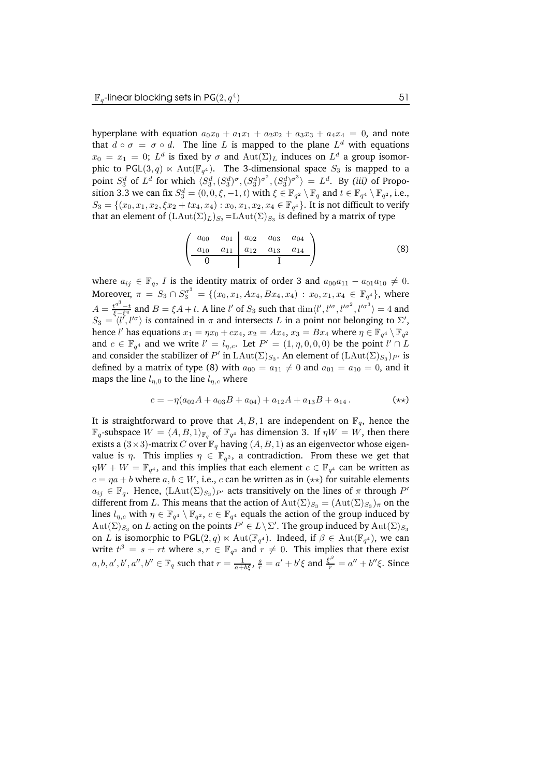hyperplane with equation  $a_0x_0 + a_1x_1 + a_2x_2 + a_3x_3 + a_4x_4 = 0$ , and note that  $d \circ \sigma = \sigma \circ d$ . The line L is mapped to the plane  $L^d$  with equations  $x_0 = x_1 = 0; \ L^d$  is fixed by  $\sigma$  and  $\mathrm{Aut}(\Sigma)_L$  induces on  $L^d$  a group isomorphic to PGL $(3,q) \ltimes \mathrm{Aut}(\mathbb{F}_{q^4})$ . The 3-dimensional space  $S_3$  is mapped to a point  $S_3^d$  of  $L^d$  for which  $\langle S_3^d, (S_3^d)^{\sigma}, (S_3^d)^{\sigma^2}, (S_3^d)^{\sigma^3} \rangle = L^d$ . By *(iii)* of Proposition 3.3 we can fix  $S_3^d = (0,0,\xi,-1,t)$  with  $\xi \in \mathbb{F}_{q^2} \setminus \mathbb{F}_q$  and  $t \in \mathbb{F}_{q^4} \setminus \mathbb{F}_{q^2}$ , i.e.,  $S_3 = \{(x_0, x_1, x_2, \xi x_2 + tx_4, x_4) : x_0, x_1, x_2, x_4 \in \mathbb{F}_{q^4}\}.$  It is not difficult to verify that an element of  $(\mathrm{LAut}(\Sigma)_L)_{S_3} \!=\! \mathrm{LAut}(\Sigma)_{S_3}$  is defined by a matrix of type

$$
\begin{pmatrix} a_{00} & a_{01} & a_{02} & a_{03} & a_{04} \\ a_{10} & a_{11} & a_{12} & a_{13} & a_{14} \\ \hline 0 & & & I \end{pmatrix}
$$
 (8)

where  $a_{ij} \in \mathbb{F}_q$ , I is the identity matrix of order 3 and  $a_{00}a_{11} - a_{01}a_{10} \neq 0$ . Moreover,  $\pi = S_3 \cap S_3^{\sigma^3} = \{(x_0, x_1, Ax_4, Bx_4, x_4) : x_0, x_1, x_4 \in \mathbb{F}_{q^4}\},\$  where  $A = \frac{t^{q^3}-t}{\xi-\xi^q}$  and  $B = \xi A + t$ . A line l' of  $S_3$  such that  $\dim \langle l', l'^{\sigma}, l'^{\sigma^2}, l'^{\sigma^3} \rangle = 4$  and  $S_3 = \langle l', l'^{\sigma} \rangle$  is contained in  $\pi$  and intersects L in a point not belonging to  $\Sigma'$ , hence l' has equations  $x_1 = \eta x_0 + cx_4$ ,  $x_2 = Ax_4$ ,  $x_3 = Bx_4$  where  $\eta \in \mathbb{F}_{q^4} \setminus \mathbb{F}_{q^2}$ and  $c \in \mathbb{F}_{q^4}$  and we write  $l' = l_{\eta,c}$ . Let  $P' = (1, \eta, 0, 0, 0)$  be the point  $l' \cap L$ and consider the stabilizer of  $P'$  in  $\text{LAut}(\Sigma)_{S_3}.$  An element of  $(\text{LAut}(\Sigma)_{S_3})_{P'}$  is defined by a matrix of type (8) with  $a_{00} = a_{11} \neq 0$  and  $a_{01} = a_{10} = 0$ , and it maps the line  $l_{\eta,0}$  to the line  $l_{\eta,c}$  where

$$
c = -\eta(a_{02}A + a_{03}B + a_{04}) + a_{12}A + a_{13}B + a_{14}.
$$
 (\*\*)

It is straightforward to prove that  $A, B, 1$  are independent on  $\mathbb{F}_q$ , hence the  $\mathbb{F}_q$ -subspace  $W = \langle A, B, 1 \rangle_{\mathbb{F}_q}$  of  $\mathbb{F}_{q^4}$  has dimension 3. If  $\eta W = W$ , then there exists a  $(3\times3)$ -matrix C over  $\mathbb{F}_q$  having  $(A, B, 1)$  as an eigenvector whose eigenvalue is  $\eta$ . This implies  $\eta \in \mathbb{F}_{q^2}$ , a contradiction. From these we get that  $\eta W + W = \mathbb{F}_{q^4}$ , and this implies that each element  $c \in \mathbb{F}_{q^4}$  can be written as  $c = \eta a + b$  where  $a, b \in W$ , i.e., c can be written as in  $(\star \star)$  for suitable elements  $a_{ij} \in \mathbb{F}_q$ . Hence,  $(\text{LAut}(\Sigma)_{S_3})_{P'}$  acts transitively on the lines of  $\pi$  through  $P'$ different from  $L.$  This means that the action of  ${\rm Aut}(\Sigma)_{S_3} = ({\rm Aut}(\Sigma)_{S_3})_\pi$  on the lines  $l_{\eta,c}$  with  $\eta \in \mathbb{F}_{q^4} \setminus \mathbb{F}_{q^2}$ ,  $c \in \mathbb{F}_{q^4}$  equals the action of the group induced by  $\mathrm{Aut}(\Sigma)_{S_3}$  on  $L$  acting on the points  $P' \in L \setminus \Sigma'$ . The group induced by  $\mathrm{Aut}(\Sigma)_{S_3}$ on L is isomorphic to PGL $(2,q) \ltimes \text{Aut}(\mathbb{F}_{q^4})$ . Indeed, if  $\beta \in \text{Aut}(\mathbb{F}_{q^4})$ , we can write  $t^{\beta} = s + rt$  where  $s, r \in \mathbb{F}_{q^2}$  and  $r \neq 0$ . This implies that there exist  $a, b, a', b', a'', b'' \in \mathbb{F}_q$  such that  $r = \frac{1}{a+b\xi}$ ,  $\frac{s}{r} = a' + b'\xi$  and  $\frac{\xi^\beta}{r} = a'' + b''\xi$ . Since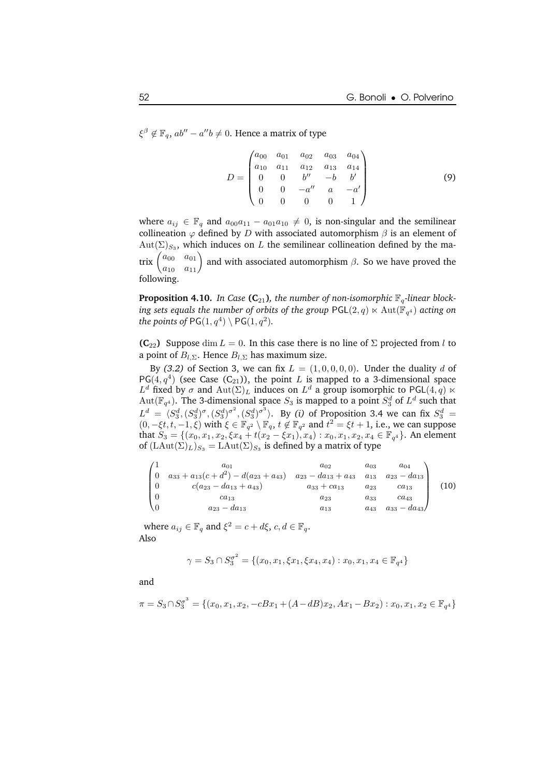$\xi^{\beta} \notin \mathbb{F}_q$ ,  $ab'' - a''b \neq 0$ . Hence a matrix of type

$$
D = \begin{pmatrix} a_{00} & a_{01} & a_{02} & a_{03} & a_{04} \\ a_{10} & a_{11} & a_{12} & a_{13} & a_{14} \\ 0 & 0 & b'' & -b & b' \\ 0 & 0 & -a'' & a & -a' \\ 0 & 0 & 0 & 0 & 1 \end{pmatrix}
$$
(9)

where  $a_{ij} \in \mathbb{F}_q$  and  $a_{00}a_{11} - a_{01}a_{10} \neq 0$ , is non-singular and the semilinear collineation  $\varphi$  defined by D with associated automorphism  $\beta$  is an element of  $Aut(\Sigma)_{S_3}$ , which induces on L the semilinear collineation defined by the ma- $\operatorname{trix} \begin{pmatrix} a_{00} & a_{01} \ a_{10} & a_{11} \end{pmatrix}$ and with associated automorphism  $\beta$ . So we have proved the following.

**Proposition 4.10.** *In Case* ( $C_{21}$ )*, the number of non-isomorphic*  $\mathbb{F}_q$ *-linear block* $i$ ng  $s$ ets equals the  $i$ number of  $o$ rbits of the  $g$ roup  $\mathsf{PGL}(2,q) \ltimes \mathrm{Aut}(\mathbb{F}_{q^4})$  acting  $o$ n the points of  $PG(1, q^4) \setminus PG(1, q^2)$ *.* 

**(C**<sub>22</sub>) Suppose dim  $L = 0$ . In this case there is no line of  $\Sigma$  projected from l to a point of  $B_{l,\Sigma}$ . Hence  $B_{l,\Sigma}$  has maximum size.

By (3.2) of Section 3, we can fix  $L = (1, 0, 0, 0, 0)$ . Under the duality d of PG(4, $q^4$ ) (see Case (C<sub>21</sub>)), the point L is mapped to a 3-dimensional space  $L^d$  fixed by  $\sigma$  and  $\mathrm{Aut}(\Sigma)_L$  induces on  $L^d$  a group isomorphic to PGL $(4,q)$   $\ltimes$  $\mathrm{Aut}(\mathbb{F}_{q^4})$ . The 3-dimensional space  $S_3$  is mapped to a point  $S_3^d$  of  $L^d$  such that  $L^d = \langle S_3^d, (S_3^d)^\sigma, (S_3^d)^\sigma^2, (S_3^d)^\sigma^3 \rangle$ . By *(i)* of Proposition 3.4 we can fix  $S_3^d$  =  $(0, -\xi t, t, -1, \xi)$  with  $\xi \in \mathbb{F}_{q^2} \setminus \mathbb{F}_q$ ,  $t \notin \mathbb{F}_{q^2}$  and  $t^2 = \xi t + 1$ , i.e., we can suppose that  $S_3 = \{(x_0, x_1, x_2, \xi x_4 + t(x_2 - \xi x_1), x_4) : x_0, x_1, x_2, x_4 \in \mathbb{F}_{q^4}\}.$  An element of  $(L\text{Aut}(\Sigma)_L)_{S_3} = L\text{Aut}(\Sigma)_{S_3}$  is defined by a matrix of type

$$
\begin{pmatrix}\n1 & a_{01} & a_{02} & a_{03} & a_{04} \\
0 & a_{33} + a_{13}(c + d^2) - d(a_{23} + a_{43}) & a_{23} - da_{13} + a_{43} & a_{13} & a_{23} - da_{13} \\
0 & c(a_{23} - da_{13} + a_{43}) & a_{33} + ca_{13} & a_{23} & ca_{13} \\
0 & ca_{13} & a_{23} & a_{33} & ca_{43} \\
0 & a_{23} - da_{13} & a_{13} & a_{43} & a_{33} - da_{43}\n\end{pmatrix}
$$
\n(10)

where  $a_{ij} \in \mathbb{F}_q$  and  $\xi^2 = c + d\xi$ ,  $c, d \in \mathbb{F}_q$ . Also

$$
\gamma = S_3 \cap S_3^{\sigma^2} = \{ (x_0, x_1, \xi x_1, \xi x_4, x_4) : x_0, x_1, x_4 \in \mathbb{F}_{q^4} \}
$$

and

$$
\pi = S_3 \cap S_3^{\sigma^3} = \{ (x_0, x_1, x_2, -cBx_1 + (A - dB)x_2, Ax_1 - Bx_2) : x_0, x_1, x_2 \in \mathbb{F}_{q^4} \}
$$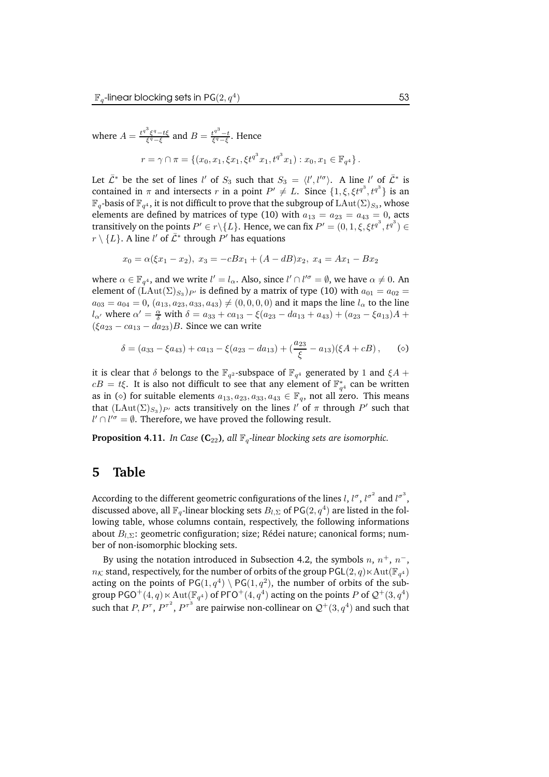where 
$$
A = \frac{t^{q^3} \xi^q - t\xi}{\xi^q - \xi}
$$
 and  $B = \frac{t^{q^3} - t}{\xi^q - \xi}$ . Hence  
\n
$$
r = \gamma \cap \pi = \{(x_0, x_1, \xi x_1, \xi t^{q^3} x_1, t^{q^3} x_1) : x_0, x_1 \in \mathbb{F}_{q^4}\}.
$$

Let  $\bar{\mathcal{L}}^*$  be the set of lines l' of  $S_3$  such that  $S_3 = \langle l', l'^{\sigma} \rangle$ . A line l' of  $\bar{\mathcal{L}}^*$  is contained in  $\pi$  and intersects r in a point  $P' \neq L$ . Since  $\{1, \xi, \xi t^{q^3}, t^{q^3}\}$  is an  $\mathbb{F}_q$ -basis of  $\mathbb{F}_{q^4},$  it is not difficult to prove that the subgroup of  $\text{LAut}(\Sigma)_{S_3},$  whose elements are defined by matrices of type (10) with  $a_{13} = a_{23} = a_{43} = 0$ , acts transitively on the points  $P' \in r \backslash \{L\}$ . Hence, we can fix  $P' = (0,1,\xi,\xi t^{q^3},t^{q^3}) \in \mathbb{R}$  $r \setminus \{L\}$ . A line l' of  $\bar{\mathcal{L}}^*$  through  $P'$  has equations

$$
x_0 = \alpha(\xi x_1 - x_2), x_3 = -cBx_1 + (A - dB)x_2, x_4 = Ax_1 - Bx_2
$$

where  $\alpha \in \mathbb{F}_{q^4}$ , and we write  $l' = l_\alpha$ . Also, since  $l' \cap l'^\sigma = \emptyset$ , we have  $\alpha \neq 0$ . An element of  $(\text{LAut}(\Sigma)_{S_3})_{P'}$  is defined by a matrix of type (10) with  $a_{01} = a_{02} =$  $a_{03} = a_{04} = 0$ ,  $(a_{13}, a_{23}, a_{33}, a_{43}) \neq (0, 0, 0, 0)$  and it maps the line  $l_{\alpha}$  to the line  $l_{\alpha'}$  where  $\alpha' = \frac{\alpha}{\delta}$  with  $\delta = a_{33} + ca_{13} - \xi(a_{23} - da_{13} + a_{43}) + (a_{23} - \xi a_{13})A +$  $(\xi a_{23} - ca_{13} - da_{23})B$ . Since we can write

$$
\delta = (a_{33} - \xi a_{43}) + ca_{13} - \xi (a_{23} - a_{13}) + (\frac{a_{23}}{\xi} - a_{13}) (\xi A + cB), \quad (o)
$$

it is clear that  $\delta$  belongs to the  $\mathbb{F}_{q^2}$ -subspace of  $\mathbb{F}_{q^4}$  generated by 1 and  $\xi A +$  $cB = t\xi$ . It is also not difficult to see that any element of  $\mathbb{F}_{q^4}^*$  can be written as in ( $\diamond$ ) for suitable elements  $a_{13}, a_{23}, a_{33}, a_{43} \in \mathbb{F}_q$ , not all zero. This means that  $(\mathrm{LAut}(\Sigma)_{S_3})_{P'}$  acts transitively on the lines  $l'$  of  $\pi$  through  $P'$  such that  $l' \cap l'^{\sigma} = \emptyset$ . Therefore, we have proved the following result.

**Proposition 4.11.** *In Case* ( $C_{22}$ ), *all*  $\mathbb{F}_q$ -linear blocking sets are isomorphic.

### **5 Table**

According to the different geometric configurations of the lines  $l, l^\sigma, l^{\sigma^2}$  and  $l^{\sigma^3},$ discussed above, all  $\mathbb{F}_q$ -linear blocking sets  $B_{l,\Sigma}$  of PG $(2,q^4)$  are listed in the following table, whose columns contain, respectively, the following informations about  $B_{l,\Sigma}$ : geometric configuration; size; Rédei nature; canonical forms; number of non-isomorphic blocking sets.

By using the notation introduced in Subsection 4.2, the symbols  $n, n^+, n^-,$  $n_{\mathcal{K}}$  stand, respectively, for the number of orbits of the group PGL $(2,q)$  $\ltimes$   $\mathrm{Aut}(\mathbb{F}_{q^4})$ acting on the points of  $PG(1, q<sup>4</sup>) \setminus PG(1, q<sup>2</sup>)$ , the number of orbits of the subgroup PGO $^+(4,q)\ltimes\mathrm{Aut}(\mathbb{F}_{q^4})$  of PГO $^+(4,q^4)$  acting on the points  $P$  of  $\mathcal{Q}^+(3,q^4)$ such that  $P, P^{\tau}, P^{\tau^2}, P^{\tau^3}$  are pairwise non-collinear on  $\mathcal{Q}^+(3,q^4)$  and such that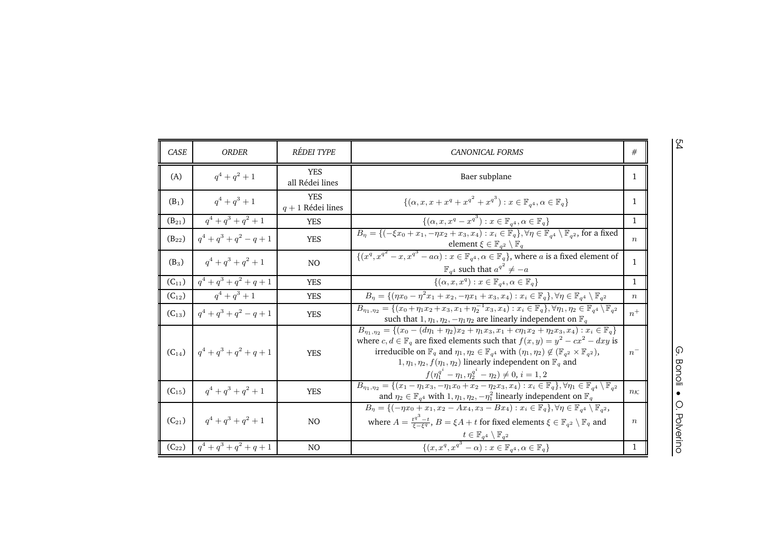| ۰,<br>٦<br>I |
|--------------|
| . .          |

| î.<br>$\frac{1}{2}$<br>ì<br>۰<br>Ξ<br>2<br>۰ |
|----------------------------------------------|
|                                              |

| <b>CASE</b> | <b>ORDER</b>              | <b>RÉDEI TYPE</b>                 | <b>CANONICAL FORMS</b>                                                                                                                                                                                                                                                                                                                                                                                                                                                                                                                        | #                 |
|-------------|---------------------------|-----------------------------------|-----------------------------------------------------------------------------------------------------------------------------------------------------------------------------------------------------------------------------------------------------------------------------------------------------------------------------------------------------------------------------------------------------------------------------------------------------------------------------------------------------------------------------------------------|-------------------|
| (A)         | $q^4 + q^2 + 1$           | <b>YES</b><br>all Rédei lines     | Baer subplane                                                                                                                                                                                                                                                                                                                                                                                                                                                                                                                                 | 1                 |
| $(B_1)$     | $q^4 + q^3 + 1$           | <b>YES</b><br>$q + 1$ Rédei lines | $\{(\alpha, x, x + x^q + x^{q^2} + x^{q^3}) : x \in \mathbb{F}_{q^4}, \alpha \in \mathbb{F}_{q}\}\$                                                                                                                                                                                                                                                                                                                                                                                                                                           | 1                 |
| $(B_{21})$  | $q^4 + q^3 + q^2 + 1$     | <b>YES</b>                        | $\{(\alpha, x, x^q - x^{q^3}) : x \in \mathbb{F}_{q^4}, \alpha \in \mathbb{F}_{q}\}\$                                                                                                                                                                                                                                                                                                                                                                                                                                                         | $\mathbf{1}$      |
| $(B_{22})$  | $q^4 + q^3 + q^2 - q + 1$ | <b>YES</b>                        | $B_{\eta} = \{(-\xi x_0 + x_1, -\eta x_2 + x_3, x_4) : x_i \in \mathbb{F}_q\}, \forall \eta \in \mathbb{F}_{q^4} \setminus \mathbb{F}_{q^2}$ , for a fixed<br>element $\xi \in \mathbb{F}_{q^2} \setminus \mathbb{F}_q$                                                                                                                                                                                                                                                                                                                       | $\boldsymbol{n}$  |
| $(B_3)$     | $q^4 + q^3 + q^2 + 1$     | N <sub>O</sub>                    | $\frac{1}{2}\{(x^q, x^{q^2}-x, x^{q^3}-a\alpha): x \in \mathbb{F}_{q^4}, \alpha \in \mathbb{F}_q\}$ , where a is a fixed element of<br>$\mathbb{F}_{q^4}$ such that $a^{q^2} \neq -a$                                                                                                                                                                                                                                                                                                                                                         | $\mathbf{1}$      |
| $(C_{11})$  | $q^4 + q^3 + q^2 + q + 1$ | <b>YES</b>                        | $\{(\alpha, x, x^q) : x \in \mathbb{F}_{q^4}, \alpha \in \mathbb{F}_q\}$                                                                                                                                                                                                                                                                                                                                                                                                                                                                      | $\mathbf{1}$      |
| $(C_{12})$  | $q^4 + q^3 + 1$           | <b>YES</b>                        | $B_{\eta} = \{(\eta x_0 - \eta^2 x_1 + x_2, -\eta x_1 + x_3, x_4) : x_i \in \mathbb{F}_q\}, \forall \eta \in \mathbb{F}_{q^4} \setminus \mathbb{F}_{q^2}$                                                                                                                                                                                                                                                                                                                                                                                     | $\,n$             |
| $(C_{13})$  | $q^4 + q^3 + q^2 - q + 1$ | <b>YES</b>                        | $B_{\eta_1,\eta_2} = \{(x_0 + \eta_1 x_2 + x_3, x_1 + \eta_2^{-1} x_3, x_4) : x_i \in \mathbb{F}_q\}, \forall \eta_1, \eta_2 \in \mathbb{F}_{q^4} \setminus \mathbb{F}_{q^2}$<br>such that $1, \eta_1, \eta_2, -\eta_1 \eta_2$ are linearly independent on $\mathbb{F}_q$                                                                                                                                                                                                                                                                     | $n^+$             |
| $(C_{14})$  | $q^4 + q^3 + q^2 + q + 1$ | <b>YES</b>                        | $B_{\eta_1,\eta_2} = \{(x_0 - (d\eta_1 + \eta_2)x_2 + \eta_1x_3, x_1 + c\eta_1x_2 + \eta_2x_3, x_4) : x_i \in \mathbb{F}_q\}$<br>where $c, d \in \mathbb{F}_q$ are fixed elements such that $f(x, y) = y^2 - cx^2 - dxy$ is<br>irreducible on $\mathbb{F}_q$ and $\eta_1, \eta_2 \in \mathbb{F}_{q^4}$ with $(\eta_1, \eta_2) \notin (\mathbb{F}_{q^2} \times \mathbb{F}_{q^2})$ ,<br>$1, \eta_1, \eta_2, f(\eta_1, \eta_2)$ linearly independent on $\mathbb{F}_q$ and<br>$f(\eta_1^{q^i} - \eta_1, \eta_2^{q^i} - \eta_2) \neq 0, i = 1, 2$ | $n^{-}$           |
| $(C_{15})$  | $q^4 + q^3 + q^2 + 1$     | <b>YES</b>                        | $B_{\eta_1,\eta_2} = \{(x_1 - \eta_1 x_3, -\eta_1 x_0 + x_2 - \eta_2 x_3, x_4) : x_i \in \mathbb{F}_q\}, \forall \eta_1 \in \mathbb{F}_{q^4} \setminus \mathbb{F}_{q^2}$<br>and $\eta_2 \in \mathbb{F}_{q^4}$ with $1, \eta_1, \eta_2, -\eta_1^2$ linearly independent on $\mathbb{F}_q$                                                                                                                                                                                                                                                      | $n_{\mathcal{K}}$ |
| $(C_{21})$  | $q^4 + q^3 + q^2 + 1$     | N <sub>O</sub>                    | $B_{\eta} = \{(-\eta x_0 + x_1, x_2 - Ax_4, x_3 - Bx_4) : x_i \in \mathbb{F}_q\}, \forall \eta \in \mathbb{F}_{q^4} \setminus \mathbb{F}_{q^2},$<br>where $A = \frac{t^{q^{\prime\prime}} - t}{\xi - \xi q}$ , $B = \xi A + t$ for fixed elements $\xi \in \mathbb{F}_{q^2} \setminus \mathbb{F}_q$ and                                                                                                                                                                                                                                       | $\boldsymbol{n}$  |
| $(C_{22})$  | $q^4 + q^3 + q^2 + q + 1$ | N <sub>O</sub>                    | $\frac{t\in \mathbb{F}_{q^4}\setminus \mathbb{F}_{q^2}}{\{(x,x^q,{x^q}^3-\alpha): x\in \mathbb{F}_{q^4}, \alpha\in \mathbb{F}_{q}\}}$                                                                                                                                                                                                                                                                                                                                                                                                         | 1                 |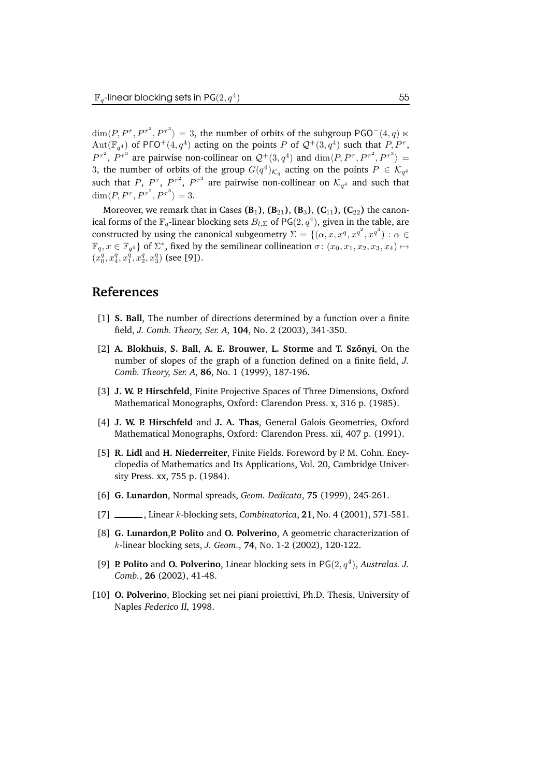$\dim \langle P, P^{\tau}, P^{\tau^2}, P^{\tau^3} \rangle = 3$ , the number of orbits of the subgroup PGO<sup>-</sup>(4, q)  $\ltimes$  $\text{Aut}(\mathbb{F}_{q^4})$  of PГO<sup>+</sup>(4,  $q^4$ ) acting on the points P of  $\mathcal{Q}^+(3,q^4)$  such that  $P, P^{\tau}$ ,  $P^{\tau^2}$ ,  $P^{\tau^3}$  are pairwise non-collinear on  $\mathcal{Q}^+(3,q^4)$  and  $\dim\langle P, P^{\tau}, P^{\tau^2}, P^{\tau^3}\rangle =$ 3, the number of orbits of the group  $G(q^4)_{K_q}$  acting on the points  $P \in \mathcal{K}_{q^4}$ such that P,  $P^{\tau}$ ,  $P^{\tau^2}$ ,  $P^{\tau^3}$  are pairwise non-collinear on  $\mathcal{K}_{q^4}$  and such that  $\dim \langle P, P^{\tau}, P^{\tau^2}, P^{\tau^3} \rangle = 3.$ 

Moreover, we remark that in Cases  $(B_1)$ ,  $(B_{21})$ ,  $(B_3)$ ,  $(C_{11})$ ,  $(C_{22})$  the canonical forms of the  $\mathbb{F}_q$ -linear blocking sets  $B_{l,\Sigma}$  of PG $(2,q^4)$ , given in the table, are constructed by using the canonical subgeometry  $\Sigma = \{(\alpha, x, x^q, x^{q^2}, x^{q^3}) : \alpha \in \mathbb{R} \}$  $\mathbb{F}_q, x \in \mathbb{F}_{q^4}$  of  $\Sigma^*$ , fixed by the semilinear collineation  $\sigma \colon (x_0, x_1, x_2, x_3, x_4) \mapsto$  $(x_0^q, x_4^q, x_1^{\overline{q}}, x_2^q, x_3^q)$  (see [9]).

### **References**

- [1] **S. Ball**, The number of directions determined by a function over a finite field, *J. Comb. Theory, Ser. A*, **104**, No. 2 (2003), 341-350.
- [2] **A. Blokhuis**, **S. Ball**, **A. E. Brouwer**, **L. Storme** and **T. Szonyi ˝** , On the number of slopes of the graph of a function defined on a finite field, *J. Comb. Theory, Ser. A*, **86**, No. 1 (1999), 187-196.
- [3] **J. W. P. Hirschfeld**, Finite Projective Spaces of Three Dimensions, Oxford Mathematical Monographs, Oxford: Clarendon Press. x, 316 p. (1985).
- [4] **J. W. P. Hirschfeld** and **J. A. Thas**, General Galois Geometries, Oxford Mathematical Monographs, Oxford: Clarendon Press. xii, 407 p. (1991).
- [5] **R. Lidl** and **H. Niederreiter**, Finite Fields. Foreword by P. M. Cohn. Encyclopedia of Mathematics and Its Applications, Vol. 20, Cambridge University Press. xx, 755 p. (1984).
- [6] **G. Lunardon**, Normal spreads, *Geom. Dedicata*, **75** (1999), 245-261.
- [7] , Linear k-blocking sets, *Combinatorica*, **21**, No. 4 (2001), 571-581.
- [8] **G. Lunardon**,**P. Polito** and **O. Polverino**, A geometric characterization of k-linear blocking sets, *J. Geom.*, **74**, No. 1-2 (2002), 120-122.
- [9] **P. Polito** and **O. Polverino**, Linear blocking sets in  $PG(2, q<sup>4</sup>)$ , *Australas. J. Comb.*, **26** (2002), 41-48.
- [10] **O. Polverino**, Blocking set nei piani proiettivi, Ph.D. Thesis, University of Naples Federico II, 1998.